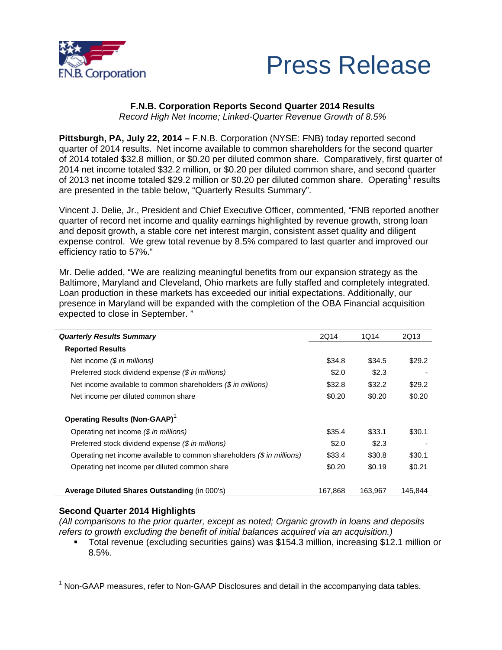



# **F.N.B. Corporation Reports Second Quarter 2014 Results**

*Record High Net Income; Linked-Quarter Revenue Growth of 8.5%* 

**Pittsburgh, PA, July 22, 2014 –** F.N.B. Corporation (NYSE: FNB) today reported second quarter of 2014 results. Net income available to common shareholders for the second quarter of 2014 totaled \$32.8 million, or \$0.20 per diluted common share. Comparatively, first quarter of 2014 net income totaled \$32.2 million, or \$0.20 per diluted common share, and second quarter of 2013 net income totaled \$29.2 million or \$0.20 per diluted common share. Operating<sup>1</sup> results are presented in the table below, "Quarterly Results Summary".

Vincent J. Delie, Jr., President and Chief Executive Officer, commented, "FNB reported another quarter of record net income and quality earnings highlighted by revenue growth, strong loan and deposit growth, a stable core net interest margin, consistent asset quality and diligent expense control. We grew total revenue by 8.5% compared to last quarter and improved our efficiency ratio to 57%."

Mr. Delie added, "We are realizing meaningful benefits from our expansion strategy as the Baltimore, Maryland and Cleveland, Ohio markets are fully staffed and completely integrated. Loan production in these markets has exceeded our initial expectations. Additionally, our presence in Maryland will be expanded with the completion of the OBA Financial acquisition expected to close in September. "

| <b>Quarterly Results Summary</b>                                       | 2Q14    | 1Q14    | 2Q13    |
|------------------------------------------------------------------------|---------|---------|---------|
| <b>Reported Results</b>                                                |         |         |         |
| Net income $(\$$ in millions)                                          | \$34.8  | \$34.5  | \$29.2  |
| Preferred stock dividend expense (\$ in millions)                      | \$2.0   | \$2.3   |         |
| Net income available to common shareholders $(\$$ in millions)         | \$32.8  | \$32.2  | \$29.2  |
| Net income per diluted common share                                    | \$0.20  | \$0.20  | \$0.20  |
| <b>Operating Results (Non-GAAP)</b> <sup>1</sup>                       |         |         |         |
| Operating net income (\$ in millions)                                  | \$35.4  | \$33.1  | \$30.1  |
| Preferred stock dividend expense (\$ in millions)                      | \$2.0   | \$2.3   |         |
| Operating net income available to common shareholders (\$ in millions) | \$33.4  | \$30.8  | \$30.1  |
| Operating net income per diluted common share                          | \$0.20  | \$0.19  | \$0.21  |
| Average Diluted Shares Outstanding (in 000's)                          | 167,868 | 163,967 | 145.844 |

# **Second Quarter 2014 Highlights**

 $\overline{a}$ 

*(All comparisons to the prior quarter, except as noted; Organic growth in loans and deposits refers to growth excluding the benefit of initial balances acquired via an acquisition.)* 

 Total revenue (excluding securities gains) was \$154.3 million, increasing \$12.1 million or 8.5%.

 $1$  Non-GAAP measures, refer to Non-GAAP Disclosures and detail in the accompanying data tables.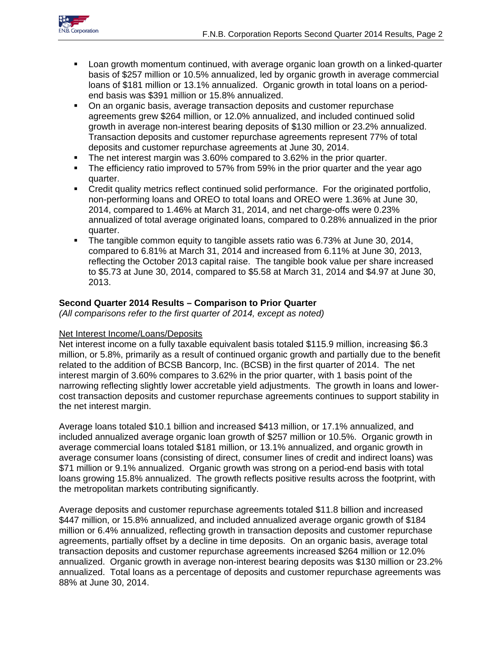



- Loan growth momentum continued, with average organic loan growth on a linked-quarter basis of \$257 million or 10.5% annualized, led by organic growth in average commercial loans of \$181 million or 13.1% annualized. Organic growth in total loans on a periodend basis was \$391 million or 15.8% annualized.
- On an organic basis, average transaction deposits and customer repurchase agreements grew \$264 million, or 12.0% annualized, and included continued solid growth in average non-interest bearing deposits of \$130 million or 23.2% annualized. Transaction deposits and customer repurchase agreements represent 77% of total deposits and customer repurchase agreements at June 30, 2014.
- The net interest margin was 3.60% compared to 3.62% in the prior quarter.
- The efficiency ratio improved to 57% from 59% in the prior quarter and the year ago quarter.
- Credit quality metrics reflect continued solid performance. For the originated portfolio, non-performing loans and OREO to total loans and OREO were 1.36% at June 30, 2014, compared to 1.46% at March 31, 2014, and net charge-offs were 0.23% annualized of total average originated loans, compared to 0.28% annualized in the prior quarter.
- The tangible common equity to tangible assets ratio was 6.73% at June 30, 2014, compared to 6.81% at March 31, 2014 and increased from 6.11% at June 30, 2013, reflecting the October 2013 capital raise. The tangible book value per share increased to \$5.73 at June 30, 2014, compared to \$5.58 at March 31, 2014 and \$4.97 at June 30, 2013.

# **Second Quarter 2014 Results – Comparison to Prior Quarter**

*(All comparisons refer to the first quarter of 2014, except as noted)*

# Net Interest Income/Loans/Deposits

Net interest income on a fully taxable equivalent basis totaled \$115.9 million, increasing \$6.3 million, or 5.8%, primarily as a result of continued organic growth and partially due to the benefit related to the addition of BCSB Bancorp, Inc. (BCSB) in the first quarter of 2014. The net interest margin of 3.60% compares to 3.62% in the prior quarter, with 1 basis point of the narrowing reflecting slightly lower accretable yield adjustments. The growth in loans and lowercost transaction deposits and customer repurchase agreements continues to support stability in the net interest margin.

Average loans totaled \$10.1 billion and increased \$413 million, or 17.1% annualized, and included annualized average organic loan growth of \$257 million or 10.5%. Organic growth in average commercial loans totaled \$181 million, or 13.1% annualized, and organic growth in average consumer loans (consisting of direct, consumer lines of credit and indirect loans) was \$71 million or 9.1% annualized. Organic growth was strong on a period-end basis with total loans growing 15.8% annualized. The growth reflects positive results across the footprint, with the metropolitan markets contributing significantly.

Average deposits and customer repurchase agreements totaled \$11.8 billion and increased \$447 million, or 15.8% annualized, and included annualized average organic growth of \$184 million or 6.4% annualized, reflecting growth in transaction deposits and customer repurchase agreements, partially offset by a decline in time deposits. On an organic basis, average total transaction deposits and customer repurchase agreements increased \$264 million or 12.0% annualized. Organic growth in average non-interest bearing deposits was \$130 million or 23.2% annualized. Total loans as a percentage of deposits and customer repurchase agreements was 88% at June 30, 2014.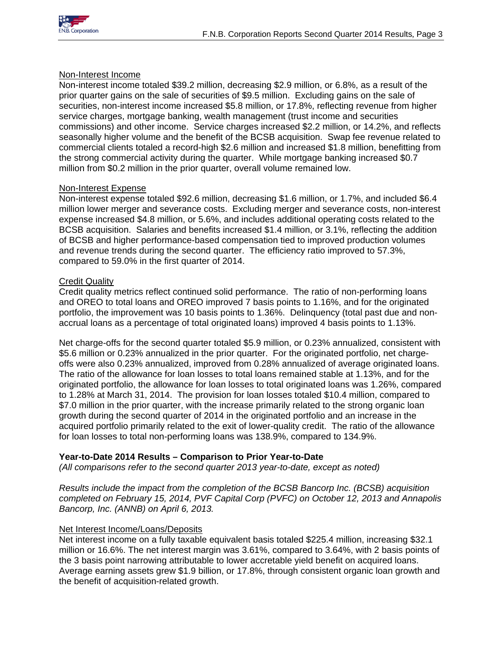

## Non-Interest Income

Non-interest income totaled \$39.2 million, decreasing \$2.9 million, or 6.8%, as a result of the prior quarter gains on the sale of securities of \$9.5 million. Excluding gains on the sale of securities, non-interest income increased \$5.8 million, or 17.8%, reflecting revenue from higher service charges, mortgage banking, wealth management (trust income and securities commissions) and other income. Service charges increased \$2.2 million, or 14.2%, and reflects seasonally higher volume and the benefit of the BCSB acquisition. Swap fee revenue related to commercial clients totaled a record-high \$2.6 million and increased \$1.8 million, benefitting from the strong commercial activity during the quarter. While mortgage banking increased \$0.7 million from \$0.2 million in the prior quarter, overall volume remained low.

## Non-Interest Expense

Non-interest expense totaled \$92.6 million, decreasing \$1.6 million, or 1.7%, and included \$6.4 million lower merger and severance costs. Excluding merger and severance costs, non-interest expense increased \$4.8 million, or 5.6%, and includes additional operating costs related to the BCSB acquisition. Salaries and benefits increased \$1.4 million, or 3.1%, reflecting the addition of BCSB and higher performance-based compensation tied to improved production volumes and revenue trends during the second quarter. The efficiency ratio improved to 57.3%, compared to 59.0% in the first quarter of 2014.

# **Credit Quality**

Credit quality metrics reflect continued solid performance. The ratio of non-performing loans and OREO to total loans and OREO improved 7 basis points to 1.16%, and for the originated portfolio, the improvement was 10 basis points to 1.36%. Delinquency (total past due and nonaccrual loans as a percentage of total originated loans) improved 4 basis points to 1.13%.

Net charge-offs for the second quarter totaled \$5.9 million, or 0.23% annualized, consistent with \$5.6 million or 0.23% annualized in the prior quarter. For the originated portfolio, net chargeoffs were also 0.23% annualized, improved from 0.28% annualized of average originated loans. The ratio of the allowance for loan losses to total loans remained stable at 1.13%, and for the originated portfolio, the allowance for loan losses to total originated loans was 1.26%, compared to 1.28% at March 31, 2014. The provision for loan losses totaled \$10.4 million, compared to \$7.0 million in the prior quarter, with the increase primarily related to the strong organic loan growth during the second quarter of 2014 in the originated portfolio and an increase in the acquired portfolio primarily related to the exit of lower-quality credit. The ratio of the allowance for loan losses to total non-performing loans was 138.9%, compared to 134.9%.

# **Year-to-Date 2014 Results – Comparison to Prior Year-to-Date**

*(All comparisons refer to the second quarter 2013 year-to-date, except as noted)* 

*Results include the impact from the completion of the BCSB Bancorp Inc. (BCSB) acquisition completed on February 15, 2014, PVF Capital Corp (PVFC) on October 12, 2013 and Annapolis Bancorp, Inc. (ANNB) on April 6, 2013.* 

# Net Interest Income/Loans/Deposits

Net interest income on a fully taxable equivalent basis totaled \$225.4 million, increasing \$32.1 million or 16.6%. The net interest margin was 3.61%, compared to 3.64%, with 2 basis points of the 3 basis point narrowing attributable to lower accretable yield benefit on acquired loans. Average earning assets grew \$1.9 billion, or 17.8%, through consistent organic loan growth and the benefit of acquisition-related growth.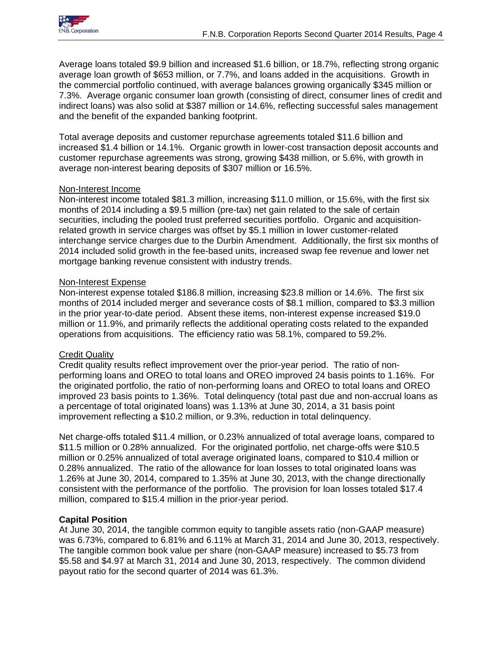

Average loans totaled \$9.9 billion and increased \$1.6 billion, or 18.7%, reflecting strong organic average loan growth of \$653 million, or 7.7%, and loans added in the acquisitions. Growth in the commercial portfolio continued, with average balances growing organically \$345 million or 7.3%. Average organic consumer loan growth (consisting of direct, consumer lines of credit and indirect loans) was also solid at \$387 million or 14.6%, reflecting successful sales management and the benefit of the expanded banking footprint.

Total average deposits and customer repurchase agreements totaled \$11.6 billion and increased \$1.4 billion or 14.1%. Organic growth in lower-cost transaction deposit accounts and customer repurchase agreements was strong, growing \$438 million, or 5.6%, with growth in average non-interest bearing deposits of \$307 million or 16.5%.

# Non-Interest Income

Non-interest income totaled \$81.3 million, increasing \$11.0 million, or 15.6%, with the first six months of 2014 including a \$9.5 million (pre-tax) net gain related to the sale of certain securities, including the pooled trust preferred securities portfolio. Organic and acquisitionrelated growth in service charges was offset by \$5.1 million in lower customer-related interchange service charges due to the Durbin Amendment. Additionally, the first six months of 2014 included solid growth in the fee-based units, increased swap fee revenue and lower net mortgage banking revenue consistent with industry trends.

# Non-Interest Expense

Non-interest expense totaled \$186.8 million, increasing \$23.8 million or 14.6%. The first six months of 2014 included merger and severance costs of \$8.1 million, compared to \$3.3 million in the prior year-to-date period. Absent these items, non-interest expense increased \$19.0 million or 11.9%, and primarily reflects the additional operating costs related to the expanded operations from acquisitions. The efficiency ratio was 58.1%, compared to 59.2%.

# Credit Quality

Credit quality results reflect improvement over the prior-year period. The ratio of nonperforming loans and OREO to total loans and OREO improved 24 basis points to 1.16%. For the originated portfolio, the ratio of non-performing loans and OREO to total loans and OREO improved 23 basis points to 1.36%. Total delinquency (total past due and non-accrual loans as a percentage of total originated loans) was 1.13% at June 30, 2014, a 31 basis point improvement reflecting a \$10.2 million, or 9.3%, reduction in total delinquency.

Net charge-offs totaled \$11.4 million, or 0.23% annualized of total average loans, compared to \$11.5 million or 0.28% annualized. For the originated portfolio, net charge-offs were \$10.5 million or 0.25% annualized of total average originated loans, compared to \$10.4 million or 0.28% annualized. The ratio of the allowance for loan losses to total originated loans was 1.26% at June 30, 2014, compared to 1.35% at June 30, 2013, with the change directionally consistent with the performance of the portfolio. The provision for loan losses totaled \$17.4 million, compared to \$15.4 million in the prior-year period.

# **Capital Position**

At June 30, 2014, the tangible common equity to tangible assets ratio (non-GAAP measure) was 6.73%, compared to 6.81% and 6.11% at March 31, 2014 and June 30, 2013, respectively. The tangible common book value per share (non-GAAP measure) increased to \$5.73 from \$5.58 and \$4.97 at March 31, 2014 and June 30, 2013, respectively. The common dividend payout ratio for the second quarter of 2014 was 61.3%.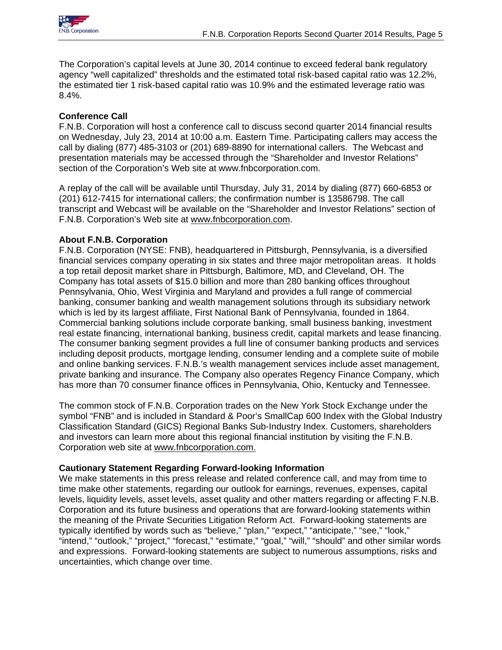

The Corporation's capital levels at June 30, 2014 continue to exceed federal bank regulatory agency "well capitalized" thresholds and the estimated total risk-based capital ratio was 12.2%, the estimated tier 1 risk-based capital ratio was 10.9% and the estimated leverage ratio was 8.4%.

# **Conference Call**

F.N.B. Corporation will host a conference call to discuss second quarter 2014 financial results on Wednesday, July 23, 2014 at 10:00 a.m. Eastern Time. Participating callers may access the call by dialing (877) 485-3103 or (201) 689-8890 for international callers. The Webcast and presentation materials may be accessed through the "Shareholder and Investor Relations" section of the Corporation's Web site at www.fnbcorporation.com.

A replay of the call will be available until Thursday, July 31, 2014 by dialing (877) 660-6853 or (201) 612-7415 for international callers; the confirmation number is 13586798. The call transcript and Webcast will be available on the "Shareholder and Investor Relations" section of F.N.B. Corporation's Web site at www.fnbcorporation.com.

# **About F.N.B. Corporation**

F.N.B. Corporation (NYSE: FNB), headquartered in Pittsburgh, Pennsylvania, is a diversified financial services company operating in six states and three major metropolitan areas. It holds a top retail deposit market share in Pittsburgh, Baltimore, MD, and Cleveland, OH. The Company has total assets of \$15.0 billion and more than 280 banking offices throughout Pennsylvania, Ohio, West Virginia and Maryland and provides a full range of commercial banking, consumer banking and wealth management solutions through its subsidiary network which is led by its largest affiliate, First National Bank of Pennsylvania, founded in 1864. Commercial banking solutions include corporate banking, small business banking, investment real estate financing, international banking, business credit, capital markets and lease financing. The consumer banking segment provides a full line of consumer banking products and services including deposit products, mortgage lending, consumer lending and a complete suite of mobile and online banking services. F.N.B.'s wealth management services include asset management, private banking and insurance. The Company also operates Regency Finance Company, which has more than 70 consumer finance offices in Pennsylvania, Ohio, Kentucky and Tennessee.

The common stock of F.N.B. Corporation trades on the New York Stock Exchange under the symbol "FNB" and is included in Standard & Poor's SmallCap 600 Index with the Global Industry Classification Standard (GICS) Regional Banks Sub-Industry Index. Customers, shareholders and investors can learn more about this regional financial institution by visiting the F.N.B. Corporation web site at www.fnbcorporation.com.

# **Cautionary Statement Regarding Forward-looking Information**

We make statements in this press release and related conference call, and may from time to time make other statements, regarding our outlook for earnings, revenues, expenses, capital levels, liquidity levels, asset levels, asset quality and other matters regarding or affecting F.N.B. Corporation and its future business and operations that are forward-looking statements within the meaning of the Private Securities Litigation Reform Act. Forward-looking statements are typically identified by words such as "believe," "plan," "expect," "anticipate," "see," "look," "intend," "outlook," "project," "forecast," "estimate," "goal," "will," "should" and other similar words and expressions. Forward-looking statements are subject to numerous assumptions, risks and uncertainties, which change over time.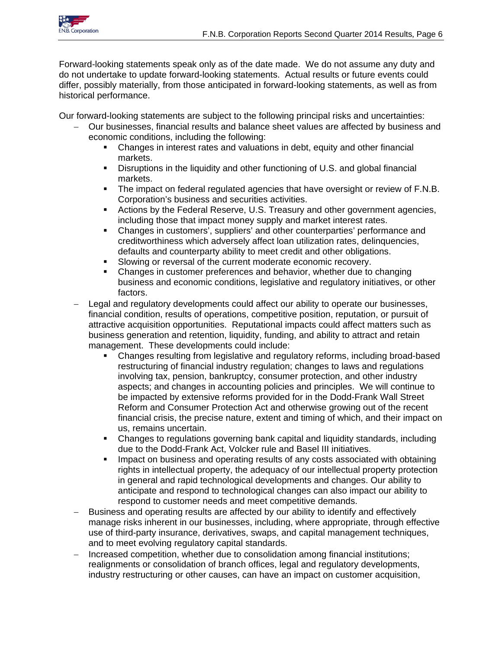

Forward-looking statements speak only as of the date made. We do not assume any duty and do not undertake to update forward-looking statements. Actual results or future events could differ, possibly materially, from those anticipated in forward-looking statements, as well as from historical performance.

Our forward-looking statements are subject to the following principal risks and uncertainties:

- Our businesses, financial results and balance sheet values are affected by business and economic conditions, including the following:
	- Changes in interest rates and valuations in debt, equity and other financial markets.
	- Disruptions in the liquidity and other functioning of U.S. and global financial markets.
	- The impact on federal regulated agencies that have oversight or review of F.N.B. Corporation's business and securities activities.
	- Actions by the Federal Reserve, U.S. Treasury and other government agencies, including those that impact money supply and market interest rates.
	- Changes in customers', suppliers' and other counterparties' performance and creditworthiness which adversely affect loan utilization rates, delinquencies, defaults and counterparty ability to meet credit and other obligations.
	- **Slowing or reversal of the current moderate economic recovery.**
	- Changes in customer preferences and behavior, whether due to changing business and economic conditions, legislative and regulatory initiatives, or other factors.
- Legal and regulatory developments could affect our ability to operate our businesses, financial condition, results of operations, competitive position, reputation, or pursuit of attractive acquisition opportunities. Reputational impacts could affect matters such as business generation and retention, liquidity, funding, and ability to attract and retain management. These developments could include:
	- Changes resulting from legislative and regulatory reforms, including broad-based restructuring of financial industry regulation; changes to laws and regulations involving tax, pension, bankruptcy, consumer protection, and other industry aspects; and changes in accounting policies and principles. We will continue to be impacted by extensive reforms provided for in the Dodd-Frank Wall Street Reform and Consumer Protection Act and otherwise growing out of the recent financial crisis, the precise nature, extent and timing of which, and their impact on us, remains uncertain.
	- Changes to regulations governing bank capital and liquidity standards, including due to the Dodd-Frank Act, Volcker rule and Basel III initiatives.
	- **IMPACT ON BUS AND STARK IN ADAM IN STARK IN ADAM IN STARK IN STARK IN STARK IN STARK IN STARK IN STARK IN STARK IN STARK IN STARK IN STARK IN STARK IN STARK IN STARK IN STARK IN STARK IN STARK IN STARK IN STARK IN STARK I** rights in intellectual property, the adequacy of our intellectual property protection in general and rapid technological developments and changes. Our ability to anticipate and respond to technological changes can also impact our ability to respond to customer needs and meet competitive demands.
- Business and operating results are affected by our ability to identify and effectively manage risks inherent in our businesses, including, where appropriate, through effective use of third-party insurance, derivatives, swaps, and capital management techniques, and to meet evolving regulatory capital standards.
- Increased competition, whether due to consolidation among financial institutions; realignments or consolidation of branch offices, legal and regulatory developments, industry restructuring or other causes, can have an impact on customer acquisition,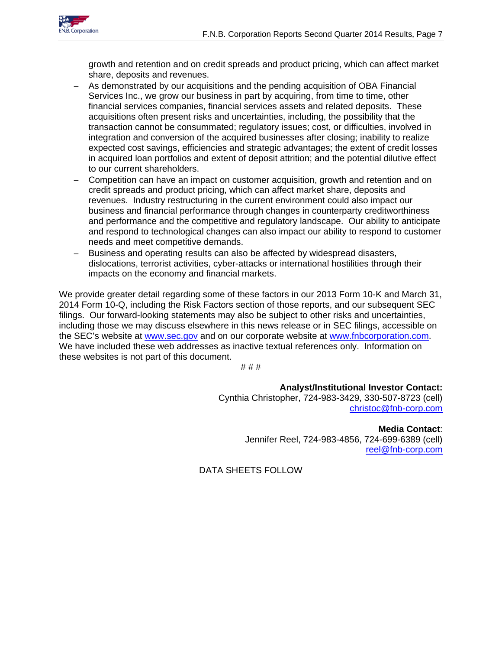

growth and retention and on credit spreads and product pricing, which can affect market share, deposits and revenues.

- As demonstrated by our acquisitions and the pending acquisition of OBA Financial Services Inc., we grow our business in part by acquiring, from time to time, other financial services companies, financial services assets and related deposits. These acquisitions often present risks and uncertainties, including, the possibility that the transaction cannot be consummated; regulatory issues; cost, or difficulties, involved in integration and conversion of the acquired businesses after closing; inability to realize expected cost savings, efficiencies and strategic advantages; the extent of credit losses in acquired loan portfolios and extent of deposit attrition; and the potential dilutive effect to our current shareholders.
- Competition can have an impact on customer acquisition, growth and retention and on credit spreads and product pricing, which can affect market share, deposits and revenues. Industry restructuring in the current environment could also impact our business and financial performance through changes in counterparty creditworthiness and performance and the competitive and regulatory landscape. Our ability to anticipate and respond to technological changes can also impact our ability to respond to customer needs and meet competitive demands.
- Business and operating results can also be affected by widespread disasters, dislocations, terrorist activities, cyber-attacks or international hostilities through their impacts on the economy and financial markets.

We provide greater detail regarding some of these factors in our 2013 Form 10-K and March 31, 2014 Form 10-Q, including the Risk Factors section of those reports, and our subsequent SEC filings. Our forward-looking statements may also be subject to other risks and uncertainties, including those we may discuss elsewhere in this news release or in SEC filings, accessible on the SEC's website at www.sec.gov and on our corporate website at www.fnbcorporation.com. We have included these web addresses as inactive textual references only. Information on these websites is not part of this document.

 $# # #$ 

**Analyst/Institutional Investor Contact:** Cynthia Christopher, 724-983-3429, 330-507-8723 (cell) christoc@fnb-corp.com

> **Media Contact**: Jennifer Reel, 724-983-4856, 724-699-6389 (cell) reel@fnb-corp.com

DATA SHEETS FOLLOW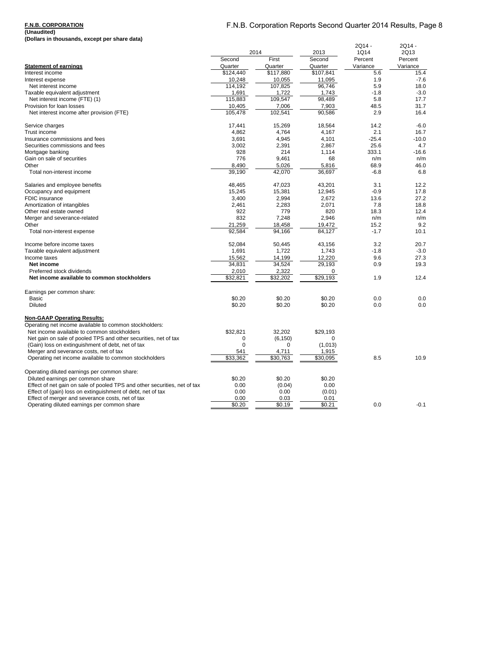### **(Unaudited)**

**(Dollars in thousands, except per share data)**

| (Dollars III thousanus, except per share uata)                            |             | 2014      | 2013      | $2Q14 -$<br><b>1Q14</b> | 2Q14 -<br><b>2Q13</b> |
|---------------------------------------------------------------------------|-------------|-----------|-----------|-------------------------|-----------------------|
|                                                                           | Second      | First     | Second    | Percent                 | Percent               |
| <b>Statement of earnings</b>                                              | Quarter     | Quarter   | Quarter   | Variance                | Variance              |
| Interest income                                                           | \$124,440   | \$117,880 | \$107,841 | 5.6                     | 15.4                  |
| Interest expense                                                          | 10,248      | 10,055    | 11,095    | 1.9                     | $-7.6$                |
| Net interest income                                                       | 114,192     | 107,825   | 96,746    | 5.9                     | 18.0                  |
| Taxable equivalent adjustment                                             | 1,691       | 1,722     | 1,743     | $-1.8$                  | $-3.0$                |
| Net interest income (FTE) (1)                                             | 115,883     | 109,547   | 98,489    | 5.8                     | 17.7                  |
| Provision for loan losses                                                 | 10,405      | 7,006     | 7,903     | 48.5                    | 31.7                  |
| Net interest income after provision (FTE)                                 | 105,478     | 102,541   | 90,586    | 2.9                     | 16.4                  |
| Service charges                                                           | 17,441      | 15,269    | 18,564    | 14.2                    | $-6.0$                |
| Trust income                                                              | 4,862       | 4,764     | 4,167     | 2.1                     | 16.7                  |
| Insurance commissions and fees                                            | 3,691       | 4,945     | 4,101     | $-25.4$                 | $-10.0$               |
| Securities commissions and fees                                           | 3,002       | 2,391     | 2,867     | 25.6                    | 4.7                   |
| Mortgage banking                                                          | 928         | 214       | 1,114     | 333.1                   | $-16.6$               |
| Gain on sale of securities                                                | 776         | 9,461     | 68        | n/m                     | n/m                   |
| Other                                                                     | 8.490       | 5,026     | 5,816     | 68.9                    | 46.0                  |
| Total non-interest income                                                 | 39,190      | 42,070    | 36,697    | $-6.8$                  | 6.8                   |
| Salaries and employee benefits                                            | 48,465      | 47,023    | 43,201    | 3.1                     | 12.2                  |
| Occupancy and equipment                                                   | 15,245      | 15,381    | 12,945    | $-0.9$                  | 17.8                  |
| FDIC insurance                                                            | 3,400       | 2,994     | 2,672     | 13.6                    | 27.2                  |
| Amortization of intangibles                                               | 2,461       | 2,283     | 2,071     | 7.8                     | 18.8                  |
| Other real estate owned                                                   | 922         | 779       | 820       | 18.3                    | 12.4                  |
| Merger and severance-related                                              | 832         | 7,248     | 2,946     | n/m                     | n/m                   |
| Other                                                                     | 21,259      | 18,458    | 19,472    | 15.2                    | 9.2                   |
| Total non-interest expense                                                | 92,584      | 94,166    | 84,127    | $-1.7$                  | 10.1                  |
| Income before income taxes                                                | 52,084      | 50,445    | 43,156    | 3.2                     | 20.7                  |
| Taxable equivalent adjustment                                             | 1,691       | 1,722     | 1,743     | $-1.8$                  | $-3.0$                |
| Income taxes                                                              | 15,562      | 14,199    | 12,220    | 9.6                     | 27.3                  |
| Net income                                                                | 34,831      | 34,524    | 29,193    | 0.9                     | 19.3                  |
| Preferred stock dividends                                                 | 2,010       | 2,322     | 0         |                         |                       |
| Net income available to common stockholders                               | \$32,821    | \$32,202  | \$29,193  | 1.9                     | 12.4                  |
| Earnings per common share:                                                |             |           |           |                         |                       |
| Basic                                                                     | \$0.20      | \$0.20    | \$0.20    | 0.0                     | 0.0                   |
| <b>Diluted</b>                                                            | \$0.20      | \$0.20    | \$0.20    | 0.0                     | 0.0                   |
| <b>Non-GAAP Operating Results:</b>                                        |             |           |           |                         |                       |
| Operating net income available to common stockholders:                    |             |           |           |                         |                       |
| Net income available to common stockholders                               | \$32,821    | 32,202    | \$29,193  |                         |                       |
| Net gain on sale of pooled TPS and other securities, net of tax           | 0           | (6, 150)  | 0         |                         |                       |
| (Gain) loss on extinguishment of debt, net of tax                         | $\mathbf 0$ | 0         | (1,013)   |                         |                       |
| Merger and severance costs, net of tax                                    | 541         | 4,711     | 1,915     |                         |                       |
| Operating net income available to common stockholders                     | \$33,362    | \$30,763  | \$30,095  | 8.5                     | 10.9                  |
| Operating diluted earnings per common share:                              |             |           |           |                         |                       |
| Diluted earnings per common share                                         | \$0.20      | \$0.20    | \$0.20    |                         |                       |
| Effect of net gain on sale of pooled TPS and other securities, net of tax | 0.00        | (0.04)    | 0.00      |                         |                       |
| Effect of (gain) loss on extinguishment of debt, net of tax               | 0.00        | 0.00      | (0.01)    |                         |                       |
| Effect of merger and severance costs, net of tax                          | 0.00        | 0.03      | 0.01      |                         |                       |
| Operating diluted earnings per common share                               | \$0.20      | \$0.19    | \$0.21    | 0.0                     | -0.1                  |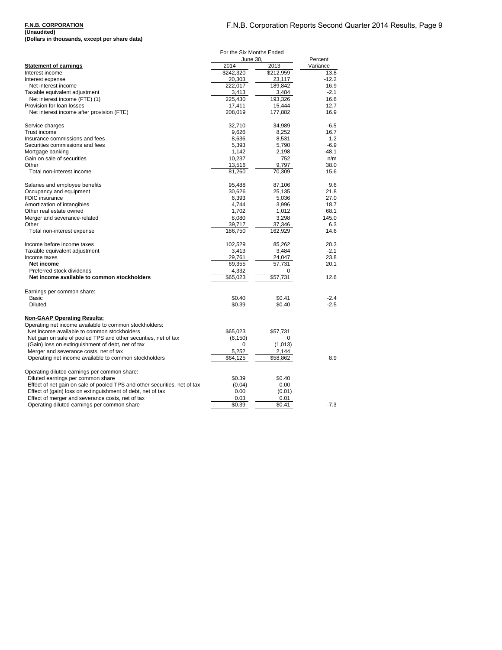### **F.N.B. CORPORATION (Unaudited)**

|                                                                           | For the Six Months Ended |           |          |
|---------------------------------------------------------------------------|--------------------------|-----------|----------|
|                                                                           | June 30,                 |           | Percent  |
| <b>Statement of earnings</b>                                              | 2014                     | 2013      | Variance |
| Interest income                                                           | \$242.320                | \$212,959 | 13.8     |
| Interest expense                                                          | 20,303                   | 23,117    | $-12.2$  |
| Net interest income                                                       | 222,017                  | 189,842   | 16.9     |
| Taxable equivalent adjustment                                             | 3,413                    | 3,484     | $-2.1$   |
| Net interest income (FTE) (1)                                             | 225.430                  | 193.326   | 16.6     |
| Provision for loan losses                                                 | 17,411                   | 15,444    | 12.7     |
| Net interest income after provision (FTE)                                 | 208,019                  | 177,882   | 16.9     |
| Service charges                                                           | 32,710                   | 34,989    | $-6.5$   |
| Trust income                                                              | 9,626                    | 8,252     | 16.7     |
| Insurance commissions and fees                                            | 8.636                    | 8,531     | 1.2      |
| Securities commissions and fees                                           | 5,393                    | 5,790     | $-6.9$   |
| Mortgage banking                                                          | 1,142                    | 2,198     | $-48.1$  |
| Gain on sale of securities                                                | 10,237                   | 752       | n/m      |
| Other                                                                     | 13,516                   | 9.797     | 38.0     |
| Total non-interest income                                                 | 81,260                   | 70,309    | 15.6     |
|                                                                           |                          |           |          |
| Salaries and employee benefits                                            | 95,488                   | 87,106    | 9.6      |
| Occupancy and equipment                                                   | 30,626                   | 25,135    | 21.8     |
| <b>FDIC</b> insurance                                                     | 6,393                    | 5,036     | 27.0     |
| Amortization of intangibles                                               | 4,744                    | 3,996     | 18.7     |
| Other real estate owned                                                   | 1,702                    | 1,012     | 68.1     |
| Merger and severance-related                                              | 8,080                    | 3,298     | 145.0    |
| Other                                                                     | 39,717                   | 37,346    | 6.3      |
| Total non-interest expense                                                | 186,750                  | 162,929   | 14.6     |
| Income before income taxes                                                | 102,529                  | 85,262    | 20.3     |
| Taxable equivalent adjustment                                             | 3,413                    | 3,484     | $-2.1$   |
| Income taxes                                                              | 29,761                   | 24,047    | 23.8     |
| Net income                                                                | 69,355                   | 57,731    | 20.1     |
| Preferred stock dividends                                                 | 4,332                    | 0         |          |
| Net income available to common stockholders                               | \$65,023                 | \$57,731  | 12.6     |
| Earnings per common share:                                                |                          |           |          |
| Basic                                                                     | \$0.40                   | \$0.41    | $-2.4$   |
| <b>Diluted</b>                                                            | \$0.39                   | \$0.40    | $-2.5$   |
| <b>Non-GAAP Operating Results:</b>                                        |                          |           |          |
| Operating net income available to common stockholders:                    |                          |           |          |
| Net income available to common stockholders                               | \$65,023                 | \$57,731  |          |
| Net gain on sale of pooled TPS and other securities, net of tax           | (6, 150)                 | 0         |          |
| (Gain) loss on extinguishment of debt, net of tax                         | $\Omega$                 | (1,013)   |          |
| Merger and severance costs, net of tax                                    | 5,252                    |           |          |
|                                                                           |                          | 2,144     | 8.9      |
| Operating net income available to common stockholders                     | \$64,125                 | \$58,862  |          |
| Operating diluted earnings per common share:                              |                          |           |          |
| Diluted earnings per common share                                         | \$0.39                   | \$0.40    |          |
| Effect of net gain on sale of pooled TPS and other securities, net of tax | (0.04)                   | 0.00      |          |
| Effect of (gain) loss on extinguishment of debt, net of tax               | 0.00                     | (0.01)    |          |
| Effect of merger and severance costs, net of tax                          | 0.03                     | 0.01      |          |
| Operating diluted earnings per common share                               | \$0.39                   | \$0.41    | $-7.3$   |
|                                                                           |                          |           |          |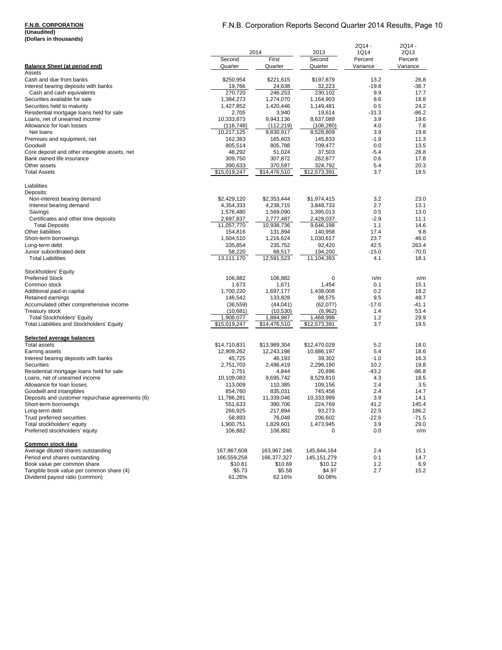#### **(Unaudited)**

| (DUIIGI 5 III LIIUUSGIIUS)                                 |                      |                      |                      | 2Q14 -      | 2Q14 -       |
|------------------------------------------------------------|----------------------|----------------------|----------------------|-------------|--------------|
|                                                            | 2014                 | 2013                 | 1Q14                 | 2Q13        |              |
|                                                            | Second               | First                | Second               | Percent     | Percent      |
| <b>Balance Sheet (at period end)</b>                       | Quarter              | Quarter              | Quarter              | Variance    | Variance     |
| Assets                                                     |                      |                      |                      |             |              |
| Cash and due from banks                                    | \$250,954            | \$221,615            | \$197,879            | 13.2        | 26.8         |
| Interest bearing deposits with banks                       | 19,766               | 24,638               | 32,223               | $-19.8$     | $-38.7$      |
| Cash and cash equivalents<br>Securities available for sale | 270,720<br>1,384,273 | 246,253<br>1,274,070 | 230,102<br>1,164,903 | 9.9<br>8.6  | 17.7<br>18.8 |
| Securities held to maturity                                | 1,427,852            | 1,420,446            | 1,149,481            | 0.5         | 24.2         |
| Residential mortgage loans held for sale                   | 2,705                | 3,940                | 19,614               | $-31.3$     | $-86.2$      |
| Loans, net of unearned income                              | 10,333,873           | 9,943,136            | 8,637,089            | 3.9         | 19.6         |
| Allowance for loan losses                                  | (116, 748)           | (112, 219)           | (108, 280)           | 4.0         | 7.8          |
| Net loans                                                  | 10,217,125           | 9,830,917            | 8,528,809            | 3.9         | 19.8         |
| Premises and equipment, net                                | 162,383              | 165,603              | 145,833              | $-1.9$      | 11.3         |
| Goodwill                                                   | 805,514              | 805,788              | 709,477              | 0.0         | 13.5         |
| Core deposit and other intangible assets, net              | 48,292               | 51,024               | 37,503               | $-5.4$      | 28.8         |
| Bank owned life insurance                                  | 309,750              | 307,872              | 262,877              | 0.6         | 17.8         |
| Other assets                                               | 390,633              | 370,597              | 324,792              | 5.4<br>3.7  | 20.3<br>19.5 |
| <b>Total Assets</b>                                        | \$15,019,247         | \$14,476,510         | \$12,573,391         |             |              |
| Liabilities                                                |                      |                      |                      |             |              |
| Deposits:                                                  |                      |                      |                      |             |              |
| Non-interest bearing demand                                | \$2,429,120          | \$2,353,444          | \$1,974,415          | 3.2         | 23.0         |
| Interest bearing demand                                    | 4,354,333            | 4,238,715            | 3,848,733            | 2.7         | 13.1         |
| Savings                                                    | 1,576,480            | 1,569,090            | 1,395,013            | 0.5         | 13.0         |
| Certificates and other time deposits                       | 2,697,837            | 2,777,487            | 2,428,037            | $-2.9$      | 11.1         |
| <b>Total Deposits</b><br>Other liabilities                 | 11,057,770           | 10,938,736           | 9,646,198            | 1.1<br>17.4 | 14.6<br>9.8  |
| Short-term borrowings                                      | 154,816<br>1,504,510 | 131,894<br>1,216,624 | 140,958<br>1,030,617 | 23.7        | 46.0         |
| Long-term debt                                             | 335,854              | 235,752              | 92,420               | 42.5        | 263.4        |
| Junior subordinated debt                                   | 58,220               | 68,517               | 194,200              | $-15.0$     | $-70.0$      |
| <b>Total Liabilities</b>                                   | 13,111,170           | 12,591,523           | 11,104,393           | 4.1         | 18.1         |
| Stockholders' Equity                                       |                      |                      |                      |             |              |
| <b>Preferred Stock</b>                                     | 106,882              | 106,882              | 0                    | n/m         | n/m          |
| Common stock                                               | 1,673                | 1,671                | 1,454                | 0.1         | 15.1         |
| Additional paid-in capital                                 | 1,700,220            | 1,697,177            | 1,438,008            | 0.2         | 18.2         |
| Retained earnings                                          | 146,542              | 133,828              | 98,575               | 9.5         | 48.7         |
| Accumulated other comprehensive income                     | (36, 559)            | (44, 041)            | (62,077)             | $-17.0$     | $-41.1$      |
| <b>Treasury stock</b>                                      | (10,681)             | (10, 530)            | (6,962)              | 1.4         | 53.4         |
| <b>Total Stockholders' Equity</b>                          | 1,908,077            | 1,884,987            | 1,468,998            | 1.2         | 29.9         |
| Total Liabilities and Stockholders' Equity                 | \$15,019,247         | \$14,476,510         | \$12,573,391         | 3.7         | 19.5         |
| Selected average balances                                  |                      |                      |                      |             |              |
| <b>Total assets</b>                                        | \$14,710,831         | \$13,989,304         | \$12,470,029         | 5.2         | 18.0         |
| Earning assets                                             | 12,909,262           | 12,243,198           | 10,886,197           | 5.4         | 18.6         |
| Interest bearing deposits with banks                       | 45,725               | 46,193               | 39,302               | $-1.0$      | 16.3         |
| Securities                                                 | 2,751,703            | 2,496,419            | 2,296,190            | 10.2        | 19.8         |
| Residential mortgage loans held for sale                   | 2,751                | 4,844                | 20,896               | $-43.2$     | $-86.8$      |
| Loans, net of unearned income                              | 10,109,083           | 9,695,742            | 8,529,810            | 4.3         | 18.5         |
| Allowance for loan losses<br>Goodwill and intangibles      | 113,009<br>854,760   | 110,385<br>835,031   | 109,156<br>745,458   | 2.4<br>2.4  | 3.5<br>14.7  |
| Deposits and customer repurchase agreements (6)            | 11,786,281           | 11,339,046           | 10,333,999           | 3.9         | 14.1         |
| Short-term borrowings                                      | 551,633              | 390,706              | 224,769              | 41.2        | 145.4        |
| Long-term debt                                             | 266,925              | 217,894              | 93,273               | 22.5        | 186.2        |
| Trust preferred securities                                 | 58,893               | 76,048               | 206,602              | $-22.6$     | $-71.5$      |
| Total stockholders' equity                                 | 1,900,751            | 1,829,601            | 1,473,945            | 3.9         | 29.0         |
| Preferred stockholders' equity                             | 106,882              | 106,882              | 0                    | 0.0         | n/m          |
| Common stock data                                          |                      |                      |                      |             |              |
| Average diluted shares outstanding                         | 167,867,608          | 163,967,246          | 145,844,164          | 2.4         | 15.1         |
| Period end shares outstanding                              | 166,559,258          | 166,377,327          | 145, 151, 279        | 0.1         | 14.7         |
| Book value per common share                                | \$10.81              | \$10.69              | \$10.12              | $1.2$       | 6.9          |
| Tangible book value per common share (4)                   | \$5.73               | \$5.58               | \$4.97               | 2.7         | 15.2         |
| Dividend payout ratio (common)                             | 61.26%               | 62.16%               | 60.08%               |             |              |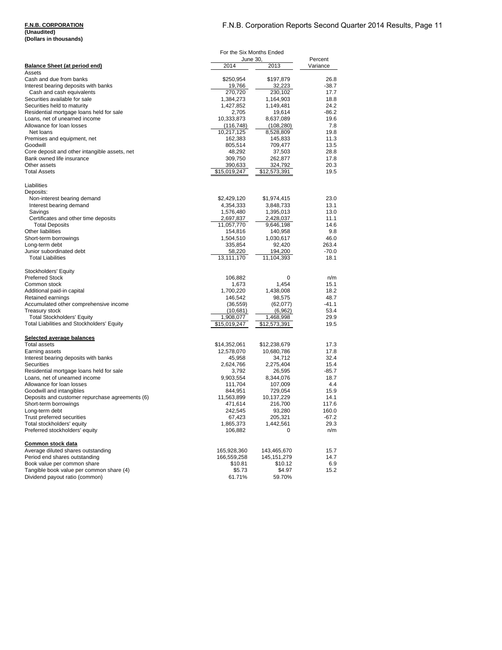### **(Unaudited)**

|                                                 | For the Six Months Ended |               |          |
|-------------------------------------------------|--------------------------|---------------|----------|
|                                                 | June 30,                 |               | Percent  |
| <b>Balance Sheet (at period end)</b>            | 2014                     | 2013          | Variance |
| Assets                                          |                          |               |          |
| Cash and due from banks                         | \$250,954                | \$197,879     | 26.8     |
| Interest bearing deposits with banks            | 19,766                   | 32,223        | $-38.7$  |
| Cash and cash equivalents                       | 270,720                  | 230,102       | 17.7     |
| Securities available for sale                   | 1,384,273                | 1,164,903     | 18.8     |
| Securities held to maturity                     | 1,427,852                | 1,149,481     | 24.2     |
| Residential mortgage loans held for sale        | 2,705                    | 19,614        | $-86.2$  |
| Loans, net of unearned income                   | 10,333,873               | 8,637,089     | 19.6     |
| Allowance for loan losses                       | (116, 748)               | (108, 280)    | 7.8      |
| Net loans                                       | 10,217,125               | 8,528,809     | 19.8     |
| Premises and equipment, net                     | 162,383                  | 145,833       | 11.3     |
| Goodwill                                        | 805,514                  | 709,477       | 13.5     |
| Core deposit and other intangible assets, net   | 48,292                   | 37,503        | 28.8     |
| Bank owned life insurance                       | 309,750                  | 262,877       | 17.8     |
| Other assets                                    | 390,633                  | 324,792       | 20.3     |
| <b>Total Assets</b>                             | \$15,019,247             | \$12,573,391  | 19.5     |
| Liabilities                                     |                          |               |          |
| Deposits:                                       |                          |               |          |
| Non-interest bearing demand                     | \$2,429,120              | \$1,974,415   | 23.0     |
| Interest bearing demand                         | 4,354,333                | 3,848,733     | 13.1     |
| Savings                                         | 1,576,480                | 1,395,013     | 13.0     |
| Certificates and other time deposits            | 2,697,837                | 2,428,037     | 11.1     |
| <b>Total Deposits</b>                           | 11,057,770               | 9,646,198     | 14.6     |
| Other liabilities                               | 154,816                  | 140,958       | 9.8      |
| Short-term borrowings                           | 1,504,510                | 1,030,617     | 46.0     |
| Long-term debt                                  | 335,854                  | 92,420        | 263.4    |
| Junior subordinated debt                        | 58,220                   | 194,200       | $-70.0$  |
| <b>Total Liabilities</b>                        | 13,111,170               | 11,104,393    | 18.1     |
|                                                 |                          |               |          |
| Stockholders' Equity                            |                          |               |          |
| <b>Preferred Stock</b>                          | 106,882                  | 0             | n/m      |
| Common stock                                    | 1,673                    | 1,454         | 15.1     |
| Additional paid-in capital                      | 1,700,220                | 1,438,008     | 18.2     |
| Retained earnings                               | 146,542                  | 98,575        | 48.7     |
| Accumulated other comprehensive income          | (36, 559)                | (62,077)      | $-41.1$  |
| <b>Treasury stock</b>                           | (10,681)                 | (6,962)       | 53.4     |
| <b>Total Stockholders' Equity</b>               | 1,908,077                | 1,468,998     | 29.9     |
| Total Liabilities and Stockholders' Equity      | \$15,019,247             | \$12,573,391  | 19.5     |
| Selected average balances                       |                          |               |          |
| <b>Total assets</b>                             | \$14,352,061             | \$12,238,679  | 17.3     |
| Earning assets                                  | 12,578,070               | 10,680,786    | 17.8     |
| Interest bearing deposits with banks            | 45,958                   | 34,712        | 32.4     |
| <b>Securities</b>                               | 2,624,766                | 2,275,404     | 15.4     |
| Residential mortgage loans held for sale        | 3,792                    | 26,595        | $-85.7$  |
| Loans, net of unearned income                   | 9,903,554                | 8,344,076     | 18.7     |
| Allowance for loan losses                       | 111,704                  | 107,009       | 4.4      |
| Goodwill and intangibles                        | 844,951                  | 729,054       | 15.9     |
| Deposits and customer repurchase agreements (6) | 11,563,899               | 10,137,229    | 14.1     |
| Short-term borrowings                           | 471,614                  | 216,700       | 117.6    |
|                                                 |                          |               |          |
| Long-term debt                                  | 242,545                  | 93,280        | 160.0    |
| Trust preferred securities                      | 67,423                   | 205,321       | $-67.2$  |
| Total stockholders' equity                      | 1,865,373                | 1,442,561     | 29.3     |
| Preferred stockholders' equity                  | 106,882                  | $\mathbf 0$   | n/m      |
| Common stock data                               |                          |               |          |
| Average diluted shares outstanding              | 165,928,360              | 143,465,670   | 15.7     |
| Period end shares outstanding                   | 166,559,258              | 145, 151, 279 | 14.7     |
| Book value per common share                     | \$10.81                  | \$10.12       | 6.9      |
| Tangible book value per common share (4)        | \$5.73                   | \$4.97        | 15.2     |
| Dividend payout ratio (common)                  | 61.71%                   | 59.70%        |          |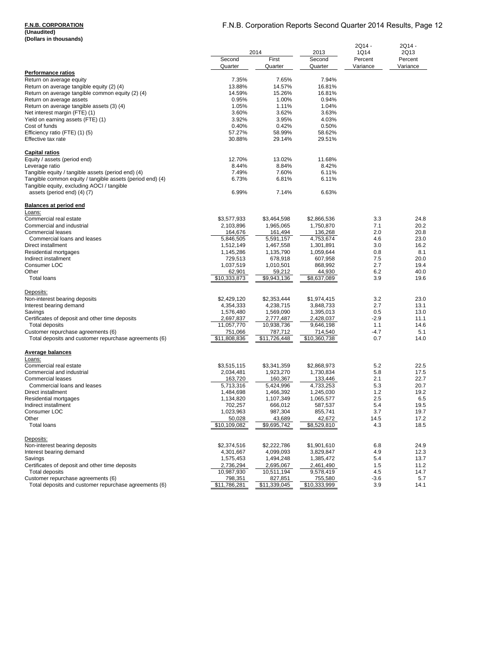#### **(Unaudited)**

|                                                                                                         | 2014                   |                        | 2013                   | 2Q14 -<br>1Q14      | 2Q14 -<br>2Q13      |
|---------------------------------------------------------------------------------------------------------|------------------------|------------------------|------------------------|---------------------|---------------------|
|                                                                                                         | Second<br>Quarter      | First<br>Quarter       | Second<br>Quarter      | Percent<br>Variance | Percent<br>Variance |
| <b>Performance ratios</b>                                                                               |                        |                        |                        |                     |                     |
| Return on average equity                                                                                | 7.35%                  | 7.65%                  | 7.94%                  |                     |                     |
| Return on average tangible equity (2) (4)                                                               | 13.88%                 | 14.57%                 | 16.81%                 |                     |                     |
| Return on average tangible common equity (2) (4)                                                        | 14.59%                 | 15.26%                 | 16.81%                 |                     |                     |
| Return on average assets                                                                                | 0.95%                  | 1.00%                  | 0.94%                  |                     |                     |
| Return on average tangible assets (3) (4)                                                               | 1.05%                  | 1.11%                  | 1.04%                  |                     |                     |
| Net interest margin (FTE) (1)                                                                           | 3.60%                  | 3.62%                  | 3.63%                  |                     |                     |
| Yield on earning assets (FTE) (1)                                                                       | 3.92%                  | 3.95%                  | 4.03%                  |                     |                     |
| Cost of funds<br>Efficiency ratio (FTE) (1) (5)                                                         | 0.40%<br>57.27%        | 0.42%<br>58.99%        | 0.50%<br>58.62%        |                     |                     |
| Effective tax rate                                                                                      | 30.88%                 | 29.14%                 | 29.51%                 |                     |                     |
| <b>Capital ratios</b>                                                                                   |                        |                        |                        |                     |                     |
| Equity / assets (period end)                                                                            | 12.70%                 | 13.02%                 | 11.68%                 |                     |                     |
| Leverage ratio                                                                                          | 8.44%                  | 8.84%                  | 8.42%                  |                     |                     |
| Tangible equity / tangible assets (period end) (4)                                                      | 7.49%                  | 7.60%                  | 6.11%                  |                     |                     |
| Tangible common equity / tangible assets (period end) (4)<br>Tangible equity, excluding AOCI / tangible | 6.73%                  | 6.81%                  | 6.11%                  |                     |                     |
| assets (period end) (4) (7)                                                                             | 6.99%                  | 7.14%                  | 6.63%                  |                     |                     |
| <b>Balances at period end</b>                                                                           |                        |                        |                        |                     |                     |
| Loans:                                                                                                  |                        |                        |                        |                     |                     |
| Commercial real estate                                                                                  | \$3,577,933            | \$3,464,598            | \$2,866,536            | 3.3                 | 24.8                |
| Commercial and industrial                                                                               | 2,103,896              | 1,965,065              | 1,750,870              | 7.1                 | 20.2                |
| <b>Commercial leases</b><br>Commercial loans and leases                                                 | 164,676                | 161,494                | 136,268<br>4,753,674   | 2.0<br>4.6          | 20.8<br>23.0        |
| Direct installment                                                                                      | 5,846,505<br>1,512,149 | 5,591,157<br>1,467,558 | 1,301,891              | 3.0                 | 16.2                |
| Residential mortgages                                                                                   | 1,145,286              | 1,135,790              | 1,059,644              | 0.8                 | 8.1                 |
| Indirect installment                                                                                    | 729,513                | 678,918                | 607,958                | 7.5                 | 20.0                |
| Consumer LOC                                                                                            | 1,037,519              | 1,010,501              | 868,992                | 2.7                 | 19.4                |
| Other                                                                                                   | 62,901                 | 59,212                 | 44,930                 | 6.2                 | 40.0                |
| <b>Total loans</b>                                                                                      | \$10,333,873           | \$9,943,136            | \$8,637,089            | 3.9                 | 19.6                |
| Deposits:                                                                                               |                        |                        |                        |                     |                     |
| Non-interest bearing deposits                                                                           | \$2,429,120            | \$2,353,444            | \$1,974,415            | 3.2                 | 23.0                |
| Interest bearing demand                                                                                 | 4,354,333<br>1,576,480 | 4,238,715<br>1,569,090 | 3,848,733<br>1,395,013 | 2.7<br>0.5          | 13.1<br>13.0        |
| Savings<br>Certificates of deposit and other time deposits                                              | 2,697,837              | 2,777,487              | 2,428,037              | $-2.9$              | 11.1                |
| Total deposits                                                                                          | 11,057,770             | 10,938,736             | 9,646,198              | 1.1                 | 14.6                |
| Customer repurchase agreements (6)                                                                      | 751,066                | 787,712                | 714,540                | -4.7                | 5.1                 |
| Total deposits and customer repurchase agreements (6)                                                   | \$11,808,836           | \$11,726,448           | \$10,360,738           | 0.7                 | 14.0                |
| <b>Average balances</b>                                                                                 |                        |                        |                        |                     |                     |
| Loans:                                                                                                  |                        |                        |                        |                     |                     |
| Commercial real estate                                                                                  | \$3,515,115            | \$3,341,359            | \$2,868,973            | 5.2                 | 22.5                |
| Commercial and industrial                                                                               | 2,034,481              | 1,923,270              | 1,730,834              | 5.8                 | 17.5                |
| <b>Commercial leases</b>                                                                                | 163,720                | 160,367                | 133,446                | 2.1                 | 22.7                |
| Commercial loans and leases<br>Direct installment                                                       | 5,713,316<br>1,484,698 | 5,424,996<br>1,466,392 | 4,733,253<br>1,245,030 | 5.3<br>1.2          | 20.7<br>19.2        |
| Residential mortgages                                                                                   | 1,134,820              | 1,107,349              | 1,065,577              | 2.5                 | 6.5                 |
| Indirect installment                                                                                    | 702,257                | 666,012                | 587,537                | 5.4                 | 19.5                |
| Consumer LOC                                                                                            | 1,023,963              | 987,304                | 855,741                | 3.7                 | 19.7                |
| Other                                                                                                   | 50,028                 | 43,689                 | 42,672                 | 14.5                | 17.2                |
| <b>Total loans</b>                                                                                      | \$10,109,082           | \$9,695,742            | \$8,529,810            | 4.3                 | 18.5                |
| Deposits:                                                                                               |                        |                        |                        |                     |                     |
| Non-interest bearing deposits                                                                           | \$2,374,516            | \$2,222,786            | \$1,901,610            | 6.8                 | 24.9                |
| Interest bearing demand                                                                                 | 4,301,667              | 4,099,093              | 3,829,847              | 4.9                 | 12.3                |
| Savings                                                                                                 | 1,575,453              | 1,494,248              | 1,385,472              | 5.4                 | 13.7                |
| Certificates of deposit and other time deposits<br><b>Total deposits</b>                                | 2,736,294              | 2,695,067              | 2,461,490              | 1.5                 | 11.2                |
| Customer repurchase agreements (6)                                                                      | 10,987,930<br>798,351  | 10,511,194<br>827,851  | 9,578,419<br>755,580   | 4.5<br>-3.6         | 14.7<br>5.7         |
| Total deposits and customer repurchase agreements (6)                                                   | \$11,786,281           | \$11,339,045           | \$10,333,999           | 3.9                 | 14.1                |
|                                                                                                         |                        |                        |                        |                     |                     |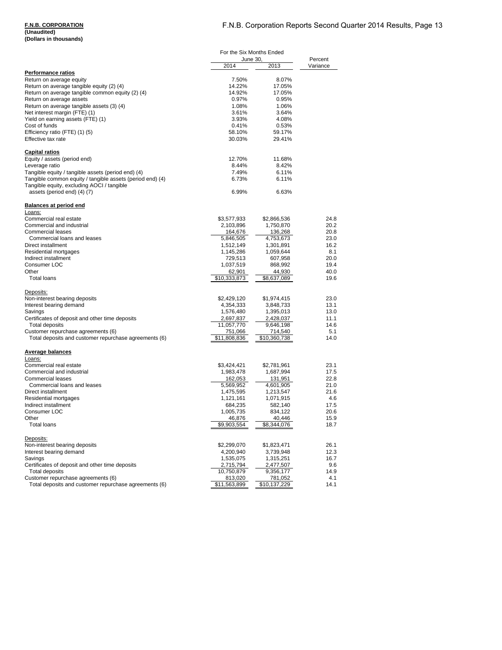### **(Unaudited)**

|                                                                                             | For the Six Months Ended<br>June 30. | Percent                  |              |
|---------------------------------------------------------------------------------------------|--------------------------------------|--------------------------|--------------|
|                                                                                             | 2014                                 | 2013                     | Variance     |
| Performance ratios                                                                          |                                      |                          |              |
| Return on average equity                                                                    | 7.50%                                | 8.07%                    |              |
| Return on average tangible equity (2) (4)                                                   | 14.22%                               | 17.05%                   |              |
| Return on average tangible common equity (2) (4)                                            | 14.92%                               | 17.05%                   |              |
| Return on average assets                                                                    | 0.97%                                | 0.95%                    |              |
| Return on average tangible assets (3) (4)                                                   | 1.08%<br>3.61%                       | 1.06%                    |              |
| Net interest margin (FTE) (1)<br>Yield on earning assets (FTE) (1)                          | 3.93%                                | 3.64%<br>4.08%           |              |
| Cost of funds                                                                               | 0.41%                                | 0.53%                    |              |
| Efficiency ratio (FTE) (1) (5)                                                              | 58.10%                               | 59.17%                   |              |
| Effective tax rate                                                                          | 30.03%                               | 29.41%                   |              |
| <b>Capital ratios</b>                                                                       |                                      |                          |              |
| Equity / assets (period end)                                                                | 12.70%                               | 11.68%                   |              |
| Leverage ratio                                                                              | 8.44%                                | 8.42%                    |              |
| Tangible equity / tangible assets (period end) (4)                                          | 7.49%                                | 6.11%                    |              |
| Tangible common equity / tangible assets (period end) (4)                                   | 6.73%                                | 6.11%                    |              |
| Tangible equity, excluding AOCI / tangible<br>assets (period end) (4) (7)                   | 6.99%                                | 6.63%                    |              |
| <b>Balances at period end</b>                                                               |                                      |                          |              |
| Loans:<br>Commercial real estate                                                            | \$3,577,933                          |                          | 24.8         |
| Commercial and industrial                                                                   | 2,103,896                            | \$2,866,536<br>1,750,870 | 20.2         |
| Commercial leases                                                                           | 164,676                              | 136,268                  | 20.8         |
| Commercial loans and leases                                                                 | 5,846,505                            | 4,753,673                | 23.0         |
| Direct installment                                                                          | 1,512,149                            | 1,301,891                | 16.2         |
| Residential mortgages                                                                       | 1,145,286                            | 1,059,644                | 8.1          |
| Indirect installment                                                                        | 729,513                              | 607,958                  | 20.0         |
| Consumer LOC                                                                                | 1,037,519                            | 868,992                  | 19.4         |
| Other                                                                                       | 62,901                               | 44,930                   | 40.0         |
| <b>Total loans</b>                                                                          | \$10,333,873                         | \$8,637,089              | 19.6         |
| Deposits:                                                                                   |                                      |                          |              |
| Non-interest bearing deposits                                                               | \$2,429,120                          | \$1,974,415              | 23.0         |
| Interest bearing demand                                                                     | 4,354,333                            | 3,848,733                | 13.1         |
| Savings                                                                                     | 1,576,480                            | 1,395,013                | 13.0         |
| Certificates of deposit and other time deposits                                             | 2,697,837                            | 2,428,037                | 11.1         |
| <b>Total deposits</b>                                                                       | 11,057,770                           | 9,646,198                | 14.6         |
| Customer repurchase agreements (6)<br>Total deposits and customer repurchase agreements (6) | 751,066<br>\$11,808,836              | 714,540<br>\$10,360,738  | 5.1<br>14.0  |
| <b>Average balances</b>                                                                     |                                      |                          |              |
| Loans:                                                                                      |                                      |                          |              |
| Commercial real estate                                                                      | \$3,424,421                          | \$2,781,961              | 23.1         |
| Commercial and industrial                                                                   | 1,983,478                            | 1,687,994                | 17.5         |
| Commercial leases                                                                           | 162,053<br>5.569.952                 | 131,951                  | 22.8         |
| Commercial loans and leases<br>Direct installment                                           | 1,475,595                            | 4,601,905<br>1,213,547   | 21.0<br>21.6 |
| Residential mortgages                                                                       | 1,121,161                            | 1,071,915                | 4.6          |
| Indirect installment                                                                        | 684,235                              | 582,140                  | 17.5         |
| Consumer LOC                                                                                | 1,005,735                            | 834,122                  | 20.6         |
| Other                                                                                       | 46,876                               | 40,446                   | 15.9         |
| Total loans                                                                                 | \$9,903,554                          | \$8,344,076              | 18.7         |
| Deposits:                                                                                   |                                      |                          |              |
| Non-interest bearing deposits                                                               | \$2,299,070                          | \$1,823,471              | 26.1         |
| Interest bearing demand                                                                     | 4,200,940                            | 3,739,948                | 12.3         |
| Savings                                                                                     | 1,535,075                            | 1,315,251                | 16.7         |
| Certificates of deposit and other time deposits                                             | 2,715,794                            | 2,477,507                | 9.6          |
| <b>Total deposits</b>                                                                       | 10,750,879                           | 9,356,177                | 14.9         |
| Customer repurchase agreements (6)<br>Total deposits and customer repurchase agreements (6) | 813,020<br>\$11,563,899              | 781,052<br>\$10,137,229  | 4.1<br>14.1  |
|                                                                                             |                                      |                          |              |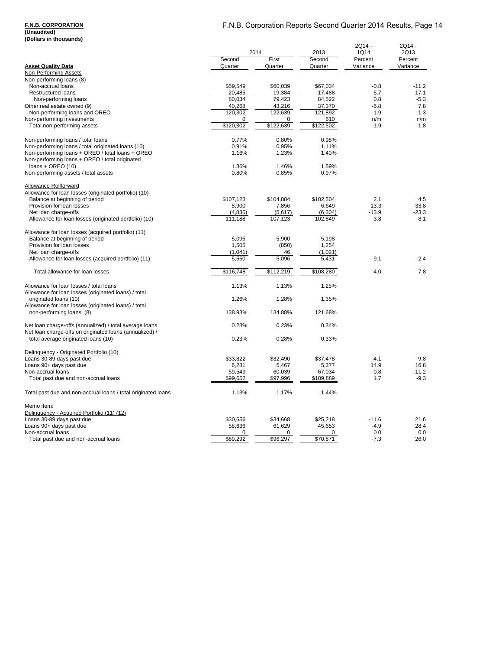### **(Unaudited)**

|                                                                               |                    | 2014               | 2013               | 2Q14 -<br>1Q14    | 2Q14 -<br>2Q13 |  |
|-------------------------------------------------------------------------------|--------------------|--------------------|--------------------|-------------------|----------------|--|
|                                                                               | Second             | First              | Second             | Percent           | Percent        |  |
| <b>Asset Quality Data</b>                                                     | Quarter            | Quarter            | Quarter            | Variance          | Variance       |  |
| Non-Performing Assets                                                         |                    |                    |                    |                   |                |  |
| Non-performing loans (8)                                                      |                    |                    |                    |                   |                |  |
| Non-accrual loans                                                             | \$59,549           | \$60,039           | \$67,034           | $-0.8$            | $-11.2$        |  |
| <b>Restructured loans</b>                                                     | 20,485             | 19,384             | 17,488             | 5.7               | 17.1           |  |
| Non-performing loans                                                          | 80,034             | 79,423             | 84,522             | 0.8               | $-5.3$         |  |
| Other real estate owned (9)                                                   | 40,268<br>120,302  | 43,216<br>122,639  | 37,370             | $-6.8$            | 7.8            |  |
| Non-performing loans and OREO                                                 |                    |                    | 121,892            | $-1.9$            | $-1.3$         |  |
| Non-performing investments<br>Total non-performing assets                     | 0<br>\$120,302     | 0<br>\$122,639     | 610<br>\$122,502   | n/m<br>$-1.9$     | n/m<br>$-1.8$  |  |
|                                                                               |                    |                    |                    |                   |                |  |
| Non-performing loans / total loans                                            | 0.77%              | 0.80%              | 0.98%              |                   |                |  |
| Non-performing loans / total originated loans (10)                            | 0.91%              | 0.95%              | 1.11%              |                   |                |  |
| Non-performing loans + OREO / total loans + OREO                              | 1.16%              | 1.23%              | 1.40%              |                   |                |  |
| Non-performing loans + OREO / total originated                                |                    |                    |                    |                   |                |  |
| loans + OREO (10)                                                             | 1.36%              | 1.46%              | 1.59%              |                   |                |  |
| Non-performing assets / total assets                                          | 0.80%              | 0.85%              | 0.97%              |                   |                |  |
|                                                                               |                    |                    |                    |                   |                |  |
| Allowance Rollforward                                                         |                    |                    |                    |                   |                |  |
| Allowance for loan losses (originated portfolio) (10)                         |                    |                    |                    |                   |                |  |
| Balance at beginning of period                                                | \$107,123          | \$104,884          | \$102,504          | 2.1               | 4.5            |  |
| Provision for loan losses                                                     | 8,900              | 7,856              | 6,649              | 13.3              | 33.8           |  |
| Net loan charge-offs                                                          | (4, 835)           | (5,617)            | (6, 304)           | $-13.9$           | $-23.3$        |  |
| Allowance for loan losses (originated portfolio) (10)                         | 111,188            | 107,123            | 102,849            | 3.8               | 8.1            |  |
|                                                                               |                    |                    |                    |                   |                |  |
| Allowance for loan losses (acquired portfolio) (11)                           |                    |                    |                    |                   |                |  |
| Balance at beginning of period                                                | 5,096              | 5,900              | 5,198              |                   |                |  |
| Provision for loan losses                                                     | 1,505              | (850)              | 1,254              |                   |                |  |
| Net loan charge-offs                                                          | (1,041)            | 46<br>5,096        | (1,021)            | 9.1               | 2.4            |  |
| Allowance for loan losses (acquired portfolio) (11)                           | 5,560              |                    | 5,431              |                   |                |  |
| Total allowance for loan losses                                               | \$116,748          | \$112,219          | \$108,280          | 4.0               | 7.8            |  |
|                                                                               |                    |                    |                    |                   |                |  |
| Allowance for loan losses / total loans                                       | 1.13%              | 1.13%              | 1.25%              |                   |                |  |
| Allowance for loan losses (originated loans) / total                          | 1.26%              | 1.28%              | 1.35%              |                   |                |  |
| originated loans (10)<br>Allowance for loan losses (originated loans) / total |                    |                    |                    |                   |                |  |
| non-performing loans (8)                                                      | 138.93%            | 134.88%            | 121.68%            |                   |                |  |
|                                                                               |                    |                    |                    |                   |                |  |
| Net loan charge-offs (annualized) / total average loans                       | 0.23%              | 0.23%              | 0.34%              |                   |                |  |
| Net loan charge-offs on originated loans (annualized) /                       |                    |                    |                    |                   |                |  |
| total average originated loans (10)                                           | 0.23%              | 0.28%              | 0.33%              |                   |                |  |
|                                                                               |                    |                    |                    |                   |                |  |
| Delinquency - Originated Portfolio (10)                                       |                    |                    |                    |                   |                |  |
| Loans 30-89 days past due                                                     | \$33.822           | \$32.490           | \$37,478           | 4.1               | $-9.8$         |  |
| Loans 90+ days past due                                                       | 6,281              | 5,467              | 5,377              | 14.9              | 16.8           |  |
| Non-accrual loans                                                             | 59,549             | 60,039             | 67,034             | $-0.8$            | $-11.2$        |  |
| Total past due and non-accrual loans                                          | \$99,652           | \$97,996           | \$109,889          | 1.7               | $-9.3$         |  |
| Total past due and non-accrual loans / total originated loans                 | 1.13%              | 1.17%              | 1.44%              |                   |                |  |
|                                                                               |                    |                    |                    |                   |                |  |
| Memo item:                                                                    |                    |                    |                    |                   |                |  |
| Delinquency - Acquired Portfolio (11) (12)                                    |                    |                    |                    |                   |                |  |
| Loans 30-89 days past due<br>Loans 90+ days past due                          | \$30,656<br>58,636 | \$34,668<br>61,629 | \$25,218<br>45,653 | $-11.6$<br>$-4.9$ | 21.6<br>28.4   |  |
|                                                                               |                    |                    |                    |                   |                |  |
| Non-accrual loans<br>Total past due and non-accrual loans                     | 0<br>\$89,292      | 0<br>\$96,297      | 0<br>\$70,871      | 0.0<br>$-7.3$     | 0.0<br>26.0    |  |
|                                                                               |                    |                    |                    |                   |                |  |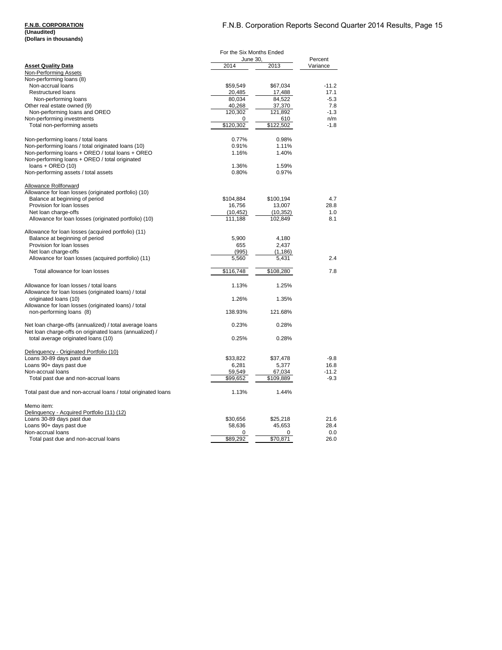### **(Unaudited)**

|                                                               | For the Six Months Ended |           |                     |  |
|---------------------------------------------------------------|--------------------------|-----------|---------------------|--|
|                                                               | June 30,                 |           | Percent<br>Variance |  |
| <b>Asset Quality Data</b>                                     | 2014                     | 2013      |                     |  |
| Non-Performing Assets<br>Non-performing loans (8)             |                          |           |                     |  |
| Non-accrual loans                                             | \$59,549                 | \$67,034  | $-11.2$             |  |
| <b>Restructured loans</b>                                     | 20,485                   | 17,488    | 17.1                |  |
| Non-performing loans                                          | 80,034                   | 84,522    | $-5.3$              |  |
| Other real estate owned (9)                                   | 40,268                   | 37,370    | 7.8                 |  |
| Non-performing loans and OREO                                 | 120,302                  | 121,892   | $-1.3$              |  |
| Non-performing investments                                    | 0                        | 610       | n/m                 |  |
| Total non-performing assets                                   | \$120,302                | \$122,502 | $-1.8$              |  |
|                                                               |                          |           |                     |  |
| Non-performing loans / total loans                            | 0.77%                    | 0.98%     |                     |  |
| Non-performing loans / total originated loans (10)            | 0.91%                    | 1.11%     |                     |  |
| Non-performing loans + OREO / total loans + OREO              | 1.16%                    | 1.40%     |                     |  |
| Non-performing loans + OREO / total originated                |                          |           |                     |  |
| loans + OREO (10)                                             | 1.36%                    | 1.59%     |                     |  |
| Non-performing assets / total assets                          | 0.80%                    | 0.97%     |                     |  |
|                                                               |                          |           |                     |  |
| <b>Allowance Rollforward</b>                                  |                          |           |                     |  |
| Allowance for loan losses (originated portfolio) (10)         |                          |           |                     |  |
| Balance at beginning of period                                | \$104,884                | \$100,194 | 4.7                 |  |
| Provision for loan losses                                     | 16,756                   | 13,007    | 28.8                |  |
| Net loan charge-offs                                          | (10, 452)                | (10, 352) | 1.0                 |  |
| Allowance for loan losses (originated portfolio) (10)         | 111,188                  | 102,849   | 8.1                 |  |
|                                                               |                          |           |                     |  |
| Allowance for loan losses (acquired portfolio) (11)           |                          |           |                     |  |
| Balance at beginning of period                                | 5,900                    | 4,180     |                     |  |
| Provision for loan losses                                     | 655                      | 2,437     |                     |  |
| Net loan charge-offs                                          | (995)                    | (1, 186)  |                     |  |
| Allowance for loan losses (acquired portfolio) (11)           | 5,560                    | 5,431     | 2.4                 |  |
| Total allowance for loan losses                               | \$116,748                | \$108,280 | 7.8                 |  |
|                                                               |                          |           |                     |  |
| Allowance for loan losses / total loans                       | 1.13%                    | 1.25%     |                     |  |
| Allowance for loan losses (originated loans) / total          |                          |           |                     |  |
| originated loans (10)                                         | 1.26%                    | 1.35%     |                     |  |
| Allowance for loan losses (originated loans) / total          |                          |           |                     |  |
| non-performing loans (8)                                      | 138.93%                  | 121.68%   |                     |  |
| Net loan charge-offs (annualized) / total average loans       | 0.23%                    | 0.28%     |                     |  |
| Net loan charge-offs on originated loans (annualized) /       |                          |           |                     |  |
| total average originated loans (10)                           | 0.25%                    | 0.28%     |                     |  |
|                                                               |                          |           |                     |  |
| Delinquency - Originated Portfolio (10)                       |                          |           |                     |  |
| Loans 30-89 days past due                                     | \$33,822                 | \$37,478  | $-9.8$              |  |
| Loans 90+ days past due                                       | 6,281                    | 5,377     | 16.8                |  |
| Non-accrual loans                                             | 59,549                   | 67,034    | $-11.2$             |  |
| Total past due and non-accrual loans                          | \$99,652                 | \$109,889 | $-9.3$              |  |
|                                                               |                          |           |                     |  |
| Total past due and non-accrual loans / total originated loans | 1.13%                    | 1.44%     |                     |  |
| Memo item:                                                    |                          |           |                     |  |
| Delinguency - Acquired Portfolio (11) (12)                    |                          |           |                     |  |
| Loans 30-89 days past due                                     | \$30,656                 | \$25,218  | 21.6                |  |
| Loans 90+ days past due                                       | 58,636                   | 45,653    | 28.4                |  |
| Non-accrual loans                                             | 0                        | $\Omega$  | 0.0                 |  |
| Total past due and non-accrual loans                          | \$89,292                 | \$70,871  | 26.0                |  |
|                                                               |                          |           |                     |  |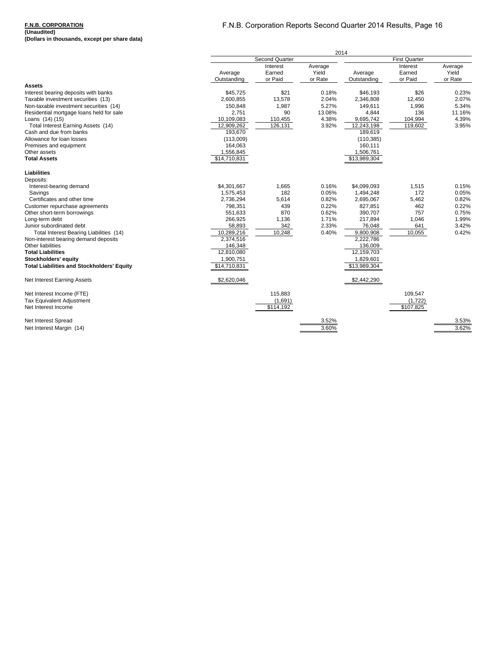|                                                   |              | 2014           |         |              |                      |         |
|---------------------------------------------------|--------------|----------------|---------|--------------|----------------------|---------|
|                                                   |              | Second Quarter |         |              | <b>First Quarter</b> |         |
|                                                   |              | Interest       | Average |              | Interest             | Average |
|                                                   | Average      | Earned         | Yield   | Average      | Earned               | Yield   |
|                                                   | Outstanding  | or Paid        | or Rate | Outstanding  | or Paid              | or Rate |
| <b>Assets</b>                                     |              |                |         |              |                      |         |
| Interest bearing deposits with banks              | \$45,725     | \$21           | 0.18%   | \$46,193     | \$26                 | 0.23%   |
| Taxable investment securities (13)                | 2,600,855    | 13,578         | 2.04%   | 2,346,808    | 12,450               | 2.07%   |
| Non-taxable investment securities (14)            | 150,848      | 1,987          | 5.27%   | 149,611      | 1,996                | 5.34%   |
| Residential mortgage loans held for sale          | 2,751        | 90             | 13.08%  | 4,844        | 136                  | 11.16%  |
| Loans (14) (15)                                   | 10,109,083   | 110,455        | 4.38%   | 9,695,742    | 104,994              | 4.39%   |
| Total Interest Earning Assets (14)                | 12,909,262   | 126,131        | 3.92%   | 12,243,198   | 119,602              | 3.95%   |
| Cash and due from banks                           | 193,670      |                |         | 189,619      |                      |         |
| Allowance for loan losses                         | (113,009)    |                |         | (110, 385)   |                      |         |
| Premises and equipment                            | 164,063      |                |         | 160,111      |                      |         |
| Other assets                                      | 1,556,845    |                |         | 1,506,761    |                      |         |
| <b>Total Assets</b>                               | \$14,710,831 |                |         | \$13,989,304 |                      |         |
| Liabilities                                       |              |                |         |              |                      |         |
| Deposits:                                         |              |                |         |              |                      |         |
| Interest-bearing demand                           | \$4,301,667  | 1,665          | 0.16%   | \$4,099,093  | 1,515                | 0.15%   |
| Savings                                           | 1,575,453    | 182            | 0.05%   | 1,494,248    | 172                  | 0.05%   |
| Certificates and other time                       | 2,736,294    | 5,614          | 0.82%   | 2,695,067    | 5,462                | 0.82%   |
| Customer repurchase agreements                    | 798,351      | 439            | 0.22%   | 827,851      | 462                  | 0.22%   |
| Other short-term borrowings                       | 551,633      | 870            | 0.62%   | 390,707      | 757                  | 0.75%   |
| Long-term debt                                    | 266,925      | 1,136          | 1.71%   | 217,894      | 1,046                | 1.99%   |
| Junior subordinated debt                          | 58,893       | 342            | 2.33%   | 76,048       | 641                  | 3.42%   |
| Total Interest Bearing Liabilities (14)           | 10,289,216   | 10,248         | 0.40%   | 9,800,908    | 10,055               | 0.42%   |
| Non-interest bearing demand deposits              | 2,374,516    |                |         | 2,222,786    |                      |         |
| Other liabilities                                 | 146,348      |                |         | 136,009      |                      |         |
| <b>Total Liabilities</b>                          | 12,810,080   |                |         | 12,159,703   |                      |         |
| Stockholders' equity                              | 1,900,751    |                |         | 1,829,601    |                      |         |
| <b>Total Liabilities and Stockholders' Equity</b> | \$14,710,831 |                |         | \$13,989,304 |                      |         |
| Net Interest Earning Assets                       | \$2,620,046  |                |         | \$2,442,290  |                      |         |
|                                                   |              |                |         |              |                      |         |
| Net Interest Income (FTE)                         |              | 115,883        |         |              | 109,547              |         |
| Tax Equivalent Adjustment                         |              | (1,691)        |         |              | (1,722)              |         |
| Net Interest Income                               |              | \$114,192      |         |              | \$107,825            |         |
| Net Interest Spread                               |              |                | 3.52%   |              |                      | 3.53%   |
| Net Interest Margin (14)                          |              |                | 3.60%   |              |                      | 3.62%   |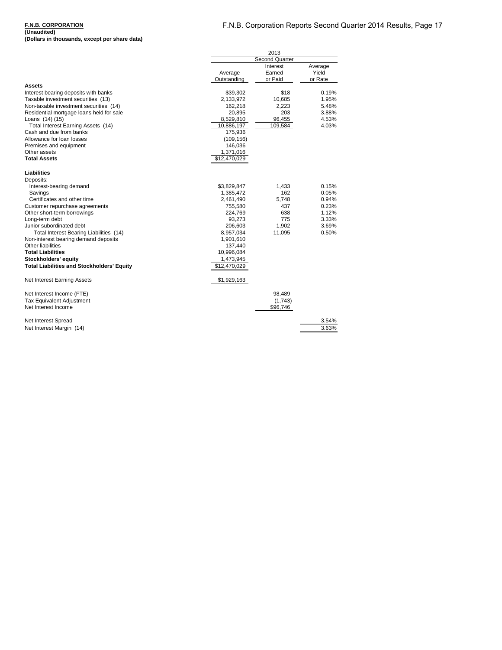|                                                   |              | 2013                 |         |
|---------------------------------------------------|--------------|----------------------|---------|
|                                                   |              | Second Quarter       |         |
|                                                   |              | Interest             | Average |
|                                                   | Average      | Earned               | Yield   |
|                                                   | Outstanding  | or Paid              | or Rate |
| <b>Assets</b>                                     |              |                      |         |
| Interest bearing deposits with banks              | \$39,302     | \$18                 | 0.19%   |
| Taxable investment securities (13)                | 2,133,972    | 10,685               | 1.95%   |
| Non-taxable investment securities (14)            | 162,218      | 2,223                | 5.48%   |
| Residential mortgage loans held for sale          | 20,895       | 203                  | 3.88%   |
| Loans (14) (15)                                   | 8,529,810    | 96,455               | 4.53%   |
| Total Interest Earning Assets (14)                | 10,886,197   | 109,584              | 4.03%   |
| Cash and due from banks                           | 175,936      |                      |         |
| Allowance for loan losses                         | (109, 156)   |                      |         |
| Premises and equipment                            | 146,036      |                      |         |
| Other assets                                      | 1,371,016    |                      |         |
| <b>Total Assets</b>                               | \$12,470,029 |                      |         |
| Liabilities                                       |              |                      |         |
| Deposits:                                         |              |                      |         |
| Interest-bearing demand                           | \$3,829,847  | 1,433                | 0.15%   |
| Savings                                           | 1,385,472    | 162                  | 0.05%   |
| Certificates and other time                       | 2,461,490    | 5.748                | 0.94%   |
| Customer repurchase agreements                    | 755,580      | 437                  | 0.23%   |
| Other short-term borrowings                       | 224,769      | 638                  | 1.12%   |
| Long-term debt                                    | 93,273       | 775                  | 3.33%   |
| Junior subordinated debt                          | 206,603      | 1,902                | 3.69%   |
| Total Interest Bearing Liabilities (14)           |              | 11,095               | 0.50%   |
|                                                   | 8,957,034    |                      |         |
| Non-interest bearing demand deposits              | 1,901,610    |                      |         |
| Other liabilities<br><b>Total Liabilities</b>     | 137,440      |                      |         |
|                                                   | 10,996,084   |                      |         |
| Stockholders' equity                              | 1,473,945    |                      |         |
| <b>Total Liabilities and Stockholders' Equity</b> | \$12,470,029 |                      |         |
| Net Interest Earning Assets                       | \$1,929,163  |                      |         |
| Net Interest Income (FTE)                         |              | 98,489               |         |
| <b>Tax Equivalent Adjustment</b>                  |              | (1,743)              |         |
| Net Interest Income                               |              | $\overline{$}96,746$ |         |
| Net Interest Spread                               |              |                      | 3.54%   |
|                                                   |              |                      |         |
| Net Interest Margin (14)                          |              |                      | 3.63%   |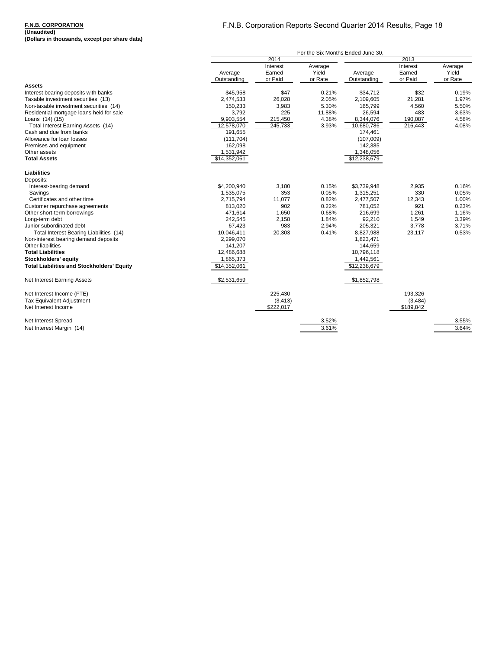|                                                   | For the Six Months Ended June 30, |           |         |              |           |         |
|---------------------------------------------------|-----------------------------------|-----------|---------|--------------|-----------|---------|
|                                                   |                                   | 2014      |         |              | 2013      |         |
|                                                   |                                   | Interest  | Average |              | Interest  | Average |
|                                                   | Average                           | Earned    | Yield   | Average      | Earned    | Yield   |
|                                                   | Outstanding                       | or Paid   | or Rate | Outstanding  | or Paid   | or Rate |
| <b>Assets</b>                                     |                                   |           |         |              |           |         |
| Interest bearing deposits with banks              | \$45,958                          | \$47      | 0.21%   | \$34,712     | \$32      | 0.19%   |
| Taxable investment securities (13)                | 2,474,533                         | 26,028    | 2.05%   | 2,109,605    | 21,281    | 1.97%   |
| Non-taxable investment securities (14)            | 150,233                           | 3,983     | 5.30%   | 165,799      | 4,560     | 5.50%   |
| Residential mortgage loans held for sale          | 3,792                             | 225       | 11.88%  | 26,594       | 483       | 3.63%   |
| Loans (14) (15)                                   | 9,903,554                         | 215,450   | 4.38%   | 8,344,076    | 190,087   | 4.58%   |
| Total Interest Earning Assets (14)                | 12,578,070                        | 245,733   | 3.93%   | 10,680,786   | 216,443   | 4.08%   |
| Cash and due from banks                           | 191,655                           |           |         | 174,461      |           |         |
| Allowance for loan losses                         | (111, 704)                        |           |         | (107,009)    |           |         |
| Premises and equipment                            | 162,098                           |           |         | 142,385      |           |         |
| Other assets                                      | 1,531,942                         |           |         | 1,348,056    |           |         |
| <b>Total Assets</b>                               | \$14,352,061                      |           |         | \$12,238,679 |           |         |
| Liabilities                                       |                                   |           |         |              |           |         |
| Deposits:                                         |                                   |           |         |              |           |         |
| Interest-bearing demand                           | \$4,200,940                       | 3,180     | 0.15%   | \$3,739,948  | 2,935     | 0.16%   |
| Savings                                           | 1,535,075                         | 353       | 0.05%   | 1,315,251    | 330       | 0.05%   |
| Certificates and other time                       | 2,715,794                         | 11,077    | 0.82%   | 2,477,507    | 12,343    | 1.00%   |
| Customer repurchase agreements                    | 813,020                           | 902       | 0.22%   | 781,052      | 921       | 0.23%   |
| Other short-term borrowings                       | 471,614                           | 1,650     | 0.68%   | 216,699      | 1,261     | 1.16%   |
| Long-term debt                                    | 242,545                           | 2,158     | 1.84%   | 92,210       | 1,549     | 3.39%   |
| Junior subordinated debt                          | 67,423                            | 983       | 2.94%   | 205,321      | 3,778     | 3.71%   |
| Total Interest Bearing Liabilities (14)           | 10,046,411                        | 20,303    | 0.41%   | 8,827,988    | 23,117    | 0.53%   |
| Non-interest bearing demand deposits              | 2,299,070                         |           |         | 1,823,471    |           |         |
| Other liabilities                                 | 141,207                           |           |         | 144,659      |           |         |
| <b>Total Liabilities</b>                          | 12,486,688                        |           |         | 10,796,118   |           |         |
| Stockholders' equity                              | 1,865,373                         |           |         | 1,442,561    |           |         |
| <b>Total Liabilities and Stockholders' Equity</b> | \$14,352,061                      |           |         | \$12,238,679 |           |         |
| Net Interest Earning Assets                       | \$2,531,659                       |           |         | \$1,852,798  |           |         |
| Net Interest Income (FTE)                         |                                   | 225,430   |         |              | 193,326   |         |
| <b>Tax Equivalent Adjustment</b>                  |                                   | (3, 413)  |         |              | (3,484)   |         |
| Net Interest Income                               |                                   | \$222,017 |         |              | \$189,842 |         |
| Net Interest Spread                               |                                   |           | 3.52%   |              |           | 3.55%   |
| Net Interest Margin (14)                          |                                   |           | 3.61%   |              |           | 3.64%   |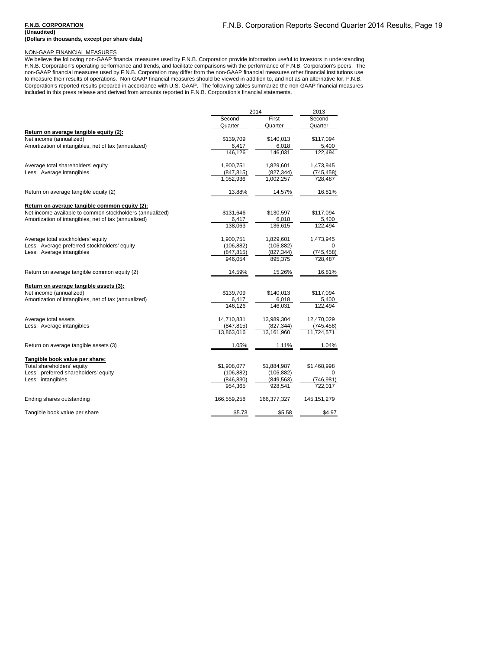#### NON-GAAP FINANCIAL MEASURES

We believe the following non-GAAP financial measures used by F.N.B. Corporation provide information useful to investors in understanding F.N.B. Corporation's operating performance and trends, and facilitate comparisons with the performance of F.N.B. Corporation's peers. The non-GAAP financial measures used by F.N.B. Corporation may differ from the non-GAAP financial measures other financial institutions use to measure their results of operations. Non-GAAP financial measures should be viewed in addition to, and not as an alternative for, F.N.B. Corporation's reported results prepared in accordance with U.S. GAAP. The following tables summarize the non-GAAP financial measures included in this press release and derived from amounts reported in F.N.B. Corporation's financial statements.

| First<br>Second<br>Second<br>Quarter<br>Quarter<br>Quarter<br>Return on average tangible equity (2):<br>Net income (annualized)<br>\$139,709<br>\$140,013<br>\$117,094<br>Amortization of intangibles, net of tax (annualized)<br>6,417<br>6,018<br>5,400<br>122,494<br>146,126<br>146,031<br>1,829,601<br>Average total shareholders' equity<br>1,900,751<br>1,473,945<br>Less: Average intangibles<br>(827, 344)<br>(847, 815)<br>(745,458)<br>1.002.257<br>1,052,936<br>728,487<br>16.81%<br>Return on average tangible equity (2)<br>13.88%<br>14.57%<br>Return on average tangible common equity (2):<br>Net income available to common stockholders (annualized)<br>\$131,646<br>\$130,597<br>\$117,094<br>Amortization of intangibles, net of tax (annualized)<br>6,018<br>6,417<br>5,400<br>138,063<br>136,615<br>122,494<br>Average total stockholders' equity<br>1,900,751<br>1,829,601<br>1,473,945<br>Less: Average preferred stockholders' equity<br>(106, 882)<br>(106, 882)<br>$\Omega$<br>Less: Average intangibles<br>(827, 344)<br>(847, 815)<br>(745,458)<br>946,054<br>895,375<br>728,487<br>Return on average tangible common equity (2)<br>15.26%<br>16.81%<br>14.59%<br>Return on average tangible assets (3):<br>Net income (annualized)<br>\$139,709<br>\$140,013<br>\$117,094<br>Amortization of intangibles, net of tax (annualized)<br>6,417<br>6,018<br>5,400<br>146,126<br>146,031<br>122,494<br>13,989,304<br>Average total assets<br>14,710,831<br>12,470,029<br>Less: Average intangibles<br>(847, 815)<br>(827, 344)<br>(745, 458)<br>13,863,016<br>13,161,960<br>11,724,571<br>Return on average tangible assets (3)<br>1.11%<br>1.04%<br>1.05%<br>Tangible book value per share:<br>Total shareholders' equity<br>\$1,908,077<br>\$1,884,987<br>\$1,468,998<br>Less: preferred shareholders' equity<br>(106, 882)<br>(106, 882)<br>$\Omega$<br>Less: intangibles<br>(846, 830)<br>(849, 563)<br>(746,981)<br>722.017<br>954,365<br>928,541<br>Ending shares outstanding<br>166,559,258<br>166,377,327<br>145,151,279<br>Tangible book value per share<br>\$5.58<br>\$5.73<br>\$4.97 |  | 2014 |  |
|-------------------------------------------------------------------------------------------------------------------------------------------------------------------------------------------------------------------------------------------------------------------------------------------------------------------------------------------------------------------------------------------------------------------------------------------------------------------------------------------------------------------------------------------------------------------------------------------------------------------------------------------------------------------------------------------------------------------------------------------------------------------------------------------------------------------------------------------------------------------------------------------------------------------------------------------------------------------------------------------------------------------------------------------------------------------------------------------------------------------------------------------------------------------------------------------------------------------------------------------------------------------------------------------------------------------------------------------------------------------------------------------------------------------------------------------------------------------------------------------------------------------------------------------------------------------------------------------------------------------------------------------------------------------------------------------------------------------------------------------------------------------------------------------------------------------------------------------------------------------------------------------------------------------------------------------------------------------------------------------------------------------------------------------------------------------------------------------------------------------------|--|------|--|
|                                                                                                                                                                                                                                                                                                                                                                                                                                                                                                                                                                                                                                                                                                                                                                                                                                                                                                                                                                                                                                                                                                                                                                                                                                                                                                                                                                                                                                                                                                                                                                                                                                                                                                                                                                                                                                                                                                                                                                                                                                                                                                                         |  |      |  |
|                                                                                                                                                                                                                                                                                                                                                                                                                                                                                                                                                                                                                                                                                                                                                                                                                                                                                                                                                                                                                                                                                                                                                                                                                                                                                                                                                                                                                                                                                                                                                                                                                                                                                                                                                                                                                                                                                                                                                                                                                                                                                                                         |  |      |  |
|                                                                                                                                                                                                                                                                                                                                                                                                                                                                                                                                                                                                                                                                                                                                                                                                                                                                                                                                                                                                                                                                                                                                                                                                                                                                                                                                                                                                                                                                                                                                                                                                                                                                                                                                                                                                                                                                                                                                                                                                                                                                                                                         |  |      |  |
|                                                                                                                                                                                                                                                                                                                                                                                                                                                                                                                                                                                                                                                                                                                                                                                                                                                                                                                                                                                                                                                                                                                                                                                                                                                                                                                                                                                                                                                                                                                                                                                                                                                                                                                                                                                                                                                                                                                                                                                                                                                                                                                         |  |      |  |
|                                                                                                                                                                                                                                                                                                                                                                                                                                                                                                                                                                                                                                                                                                                                                                                                                                                                                                                                                                                                                                                                                                                                                                                                                                                                                                                                                                                                                                                                                                                                                                                                                                                                                                                                                                                                                                                                                                                                                                                                                                                                                                                         |  |      |  |
|                                                                                                                                                                                                                                                                                                                                                                                                                                                                                                                                                                                                                                                                                                                                                                                                                                                                                                                                                                                                                                                                                                                                                                                                                                                                                                                                                                                                                                                                                                                                                                                                                                                                                                                                                                                                                                                                                                                                                                                                                                                                                                                         |  |      |  |
|                                                                                                                                                                                                                                                                                                                                                                                                                                                                                                                                                                                                                                                                                                                                                                                                                                                                                                                                                                                                                                                                                                                                                                                                                                                                                                                                                                                                                                                                                                                                                                                                                                                                                                                                                                                                                                                                                                                                                                                                                                                                                                                         |  |      |  |
|                                                                                                                                                                                                                                                                                                                                                                                                                                                                                                                                                                                                                                                                                                                                                                                                                                                                                                                                                                                                                                                                                                                                                                                                                                                                                                                                                                                                                                                                                                                                                                                                                                                                                                                                                                                                                                                                                                                                                                                                                                                                                                                         |  |      |  |
|                                                                                                                                                                                                                                                                                                                                                                                                                                                                                                                                                                                                                                                                                                                                                                                                                                                                                                                                                                                                                                                                                                                                                                                                                                                                                                                                                                                                                                                                                                                                                                                                                                                                                                                                                                                                                                                                                                                                                                                                                                                                                                                         |  |      |  |
|                                                                                                                                                                                                                                                                                                                                                                                                                                                                                                                                                                                                                                                                                                                                                                                                                                                                                                                                                                                                                                                                                                                                                                                                                                                                                                                                                                                                                                                                                                                                                                                                                                                                                                                                                                                                                                                                                                                                                                                                                                                                                                                         |  |      |  |
|                                                                                                                                                                                                                                                                                                                                                                                                                                                                                                                                                                                                                                                                                                                                                                                                                                                                                                                                                                                                                                                                                                                                                                                                                                                                                                                                                                                                                                                                                                                                                                                                                                                                                                                                                                                                                                                                                                                                                                                                                                                                                                                         |  |      |  |
|                                                                                                                                                                                                                                                                                                                                                                                                                                                                                                                                                                                                                                                                                                                                                                                                                                                                                                                                                                                                                                                                                                                                                                                                                                                                                                                                                                                                                                                                                                                                                                                                                                                                                                                                                                                                                                                                                                                                                                                                                                                                                                                         |  |      |  |
|                                                                                                                                                                                                                                                                                                                                                                                                                                                                                                                                                                                                                                                                                                                                                                                                                                                                                                                                                                                                                                                                                                                                                                                                                                                                                                                                                                                                                                                                                                                                                                                                                                                                                                                                                                                                                                                                                                                                                                                                                                                                                                                         |  |      |  |
|                                                                                                                                                                                                                                                                                                                                                                                                                                                                                                                                                                                                                                                                                                                                                                                                                                                                                                                                                                                                                                                                                                                                                                                                                                                                                                                                                                                                                                                                                                                                                                                                                                                                                                                                                                                                                                                                                                                                                                                                                                                                                                                         |  |      |  |
|                                                                                                                                                                                                                                                                                                                                                                                                                                                                                                                                                                                                                                                                                                                                                                                                                                                                                                                                                                                                                                                                                                                                                                                                                                                                                                                                                                                                                                                                                                                                                                                                                                                                                                                                                                                                                                                                                                                                                                                                                                                                                                                         |  |      |  |
|                                                                                                                                                                                                                                                                                                                                                                                                                                                                                                                                                                                                                                                                                                                                                                                                                                                                                                                                                                                                                                                                                                                                                                                                                                                                                                                                                                                                                                                                                                                                                                                                                                                                                                                                                                                                                                                                                                                                                                                                                                                                                                                         |  |      |  |
|                                                                                                                                                                                                                                                                                                                                                                                                                                                                                                                                                                                                                                                                                                                                                                                                                                                                                                                                                                                                                                                                                                                                                                                                                                                                                                                                                                                                                                                                                                                                                                                                                                                                                                                                                                                                                                                                                                                                                                                                                                                                                                                         |  |      |  |
|                                                                                                                                                                                                                                                                                                                                                                                                                                                                                                                                                                                                                                                                                                                                                                                                                                                                                                                                                                                                                                                                                                                                                                                                                                                                                                                                                                                                                                                                                                                                                                                                                                                                                                                                                                                                                                                                                                                                                                                                                                                                                                                         |  |      |  |
|                                                                                                                                                                                                                                                                                                                                                                                                                                                                                                                                                                                                                                                                                                                                                                                                                                                                                                                                                                                                                                                                                                                                                                                                                                                                                                                                                                                                                                                                                                                                                                                                                                                                                                                                                                                                                                                                                                                                                                                                                                                                                                                         |  |      |  |
|                                                                                                                                                                                                                                                                                                                                                                                                                                                                                                                                                                                                                                                                                                                                                                                                                                                                                                                                                                                                                                                                                                                                                                                                                                                                                                                                                                                                                                                                                                                                                                                                                                                                                                                                                                                                                                                                                                                                                                                                                                                                                                                         |  |      |  |
|                                                                                                                                                                                                                                                                                                                                                                                                                                                                                                                                                                                                                                                                                                                                                                                                                                                                                                                                                                                                                                                                                                                                                                                                                                                                                                                                                                                                                                                                                                                                                                                                                                                                                                                                                                                                                                                                                                                                                                                                                                                                                                                         |  |      |  |
|                                                                                                                                                                                                                                                                                                                                                                                                                                                                                                                                                                                                                                                                                                                                                                                                                                                                                                                                                                                                                                                                                                                                                                                                                                                                                                                                                                                                                                                                                                                                                                                                                                                                                                                                                                                                                                                                                                                                                                                                                                                                                                                         |  |      |  |
|                                                                                                                                                                                                                                                                                                                                                                                                                                                                                                                                                                                                                                                                                                                                                                                                                                                                                                                                                                                                                                                                                                                                                                                                                                                                                                                                                                                                                                                                                                                                                                                                                                                                                                                                                                                                                                                                                                                                                                                                                                                                                                                         |  |      |  |
|                                                                                                                                                                                                                                                                                                                                                                                                                                                                                                                                                                                                                                                                                                                                                                                                                                                                                                                                                                                                                                                                                                                                                                                                                                                                                                                                                                                                                                                                                                                                                                                                                                                                                                                                                                                                                                                                                                                                                                                                                                                                                                                         |  |      |  |
|                                                                                                                                                                                                                                                                                                                                                                                                                                                                                                                                                                                                                                                                                                                                                                                                                                                                                                                                                                                                                                                                                                                                                                                                                                                                                                                                                                                                                                                                                                                                                                                                                                                                                                                                                                                                                                                                                                                                                                                                                                                                                                                         |  |      |  |
|                                                                                                                                                                                                                                                                                                                                                                                                                                                                                                                                                                                                                                                                                                                                                                                                                                                                                                                                                                                                                                                                                                                                                                                                                                                                                                                                                                                                                                                                                                                                                                                                                                                                                                                                                                                                                                                                                                                                                                                                                                                                                                                         |  |      |  |
|                                                                                                                                                                                                                                                                                                                                                                                                                                                                                                                                                                                                                                                                                                                                                                                                                                                                                                                                                                                                                                                                                                                                                                                                                                                                                                                                                                                                                                                                                                                                                                                                                                                                                                                                                                                                                                                                                                                                                                                                                                                                                                                         |  |      |  |
|                                                                                                                                                                                                                                                                                                                                                                                                                                                                                                                                                                                                                                                                                                                                                                                                                                                                                                                                                                                                                                                                                                                                                                                                                                                                                                                                                                                                                                                                                                                                                                                                                                                                                                                                                                                                                                                                                                                                                                                                                                                                                                                         |  |      |  |
|                                                                                                                                                                                                                                                                                                                                                                                                                                                                                                                                                                                                                                                                                                                                                                                                                                                                                                                                                                                                                                                                                                                                                                                                                                                                                                                                                                                                                                                                                                                                                                                                                                                                                                                                                                                                                                                                                                                                                                                                                                                                                                                         |  |      |  |
|                                                                                                                                                                                                                                                                                                                                                                                                                                                                                                                                                                                                                                                                                                                                                                                                                                                                                                                                                                                                                                                                                                                                                                                                                                                                                                                                                                                                                                                                                                                                                                                                                                                                                                                                                                                                                                                                                                                                                                                                                                                                                                                         |  |      |  |
|                                                                                                                                                                                                                                                                                                                                                                                                                                                                                                                                                                                                                                                                                                                                                                                                                                                                                                                                                                                                                                                                                                                                                                                                                                                                                                                                                                                                                                                                                                                                                                                                                                                                                                                                                                                                                                                                                                                                                                                                                                                                                                                         |  |      |  |
|                                                                                                                                                                                                                                                                                                                                                                                                                                                                                                                                                                                                                                                                                                                                                                                                                                                                                                                                                                                                                                                                                                                                                                                                                                                                                                                                                                                                                                                                                                                                                                                                                                                                                                                                                                                                                                                                                                                                                                                                                                                                                                                         |  |      |  |
|                                                                                                                                                                                                                                                                                                                                                                                                                                                                                                                                                                                                                                                                                                                                                                                                                                                                                                                                                                                                                                                                                                                                                                                                                                                                                                                                                                                                                                                                                                                                                                                                                                                                                                                                                                                                                                                                                                                                                                                                                                                                                                                         |  |      |  |
|                                                                                                                                                                                                                                                                                                                                                                                                                                                                                                                                                                                                                                                                                                                                                                                                                                                                                                                                                                                                                                                                                                                                                                                                                                                                                                                                                                                                                                                                                                                                                                                                                                                                                                                                                                                                                                                                                                                                                                                                                                                                                                                         |  |      |  |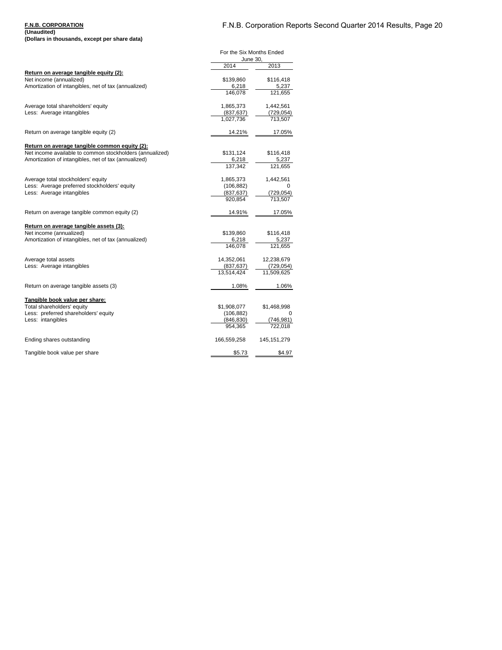### **F.N.B. CORPORATION (Unaudited)**

**(Dollars in thousands, except per share data)**

|                                                          | For the Six Months Ended |             |
|----------------------------------------------------------|--------------------------|-------------|
|                                                          | June 30,                 |             |
|                                                          | 2014                     | 2013        |
| Return on average tangible equity (2):                   |                          |             |
| Net income (annualized)                                  | \$139,860                | \$116,418   |
| Amortization of intangibles, net of tax (annualized)     | 6,218                    | 5,237       |
|                                                          | 146,078                  | 121,655     |
| Average total shareholders' equity                       | 1,865,373                | 1,442,561   |
| Less: Average intangibles                                | (837, 637)               | (729, 054)  |
|                                                          | 1,027,736                | 713,507     |
| Return on average tangible equity (2)                    | 14.21%                   | 17.05%      |
| Return on average tangible common equity (2):            |                          |             |
| Net income available to common stockholders (annualized) | \$131,124                | \$116,418   |
| Amortization of intangibles, net of tax (annualized)     | 6,218                    | 5,237       |
|                                                          | 137,342                  | 121,655     |
| Average total stockholders' equity                       | 1,865,373                | 1,442,561   |
| Less: Average preferred stockholders' equity             | (106, 882)               | 0           |
| Less: Average intangibles                                | (837, 637)               | (729, 054)  |
|                                                          | 920,854                  | 713,507     |
| Return on average tangible common equity (2)             | 14.91%                   | 17.05%      |
| Return on average tangible assets (3):                   |                          |             |
| Net income (annualized)                                  | \$139,860                | \$116,418   |
| Amortization of intangibles, net of tax (annualized)     | 6,218                    | 5,237       |
|                                                          | 146,078                  | 121,655     |
| Average total assets                                     | 14,352,061               | 12,238,679  |
| Less: Average intangibles                                | (837, 637)               | (729, 054)  |
|                                                          | 13,514,424               | 11,509,625  |
| Return on average tangible assets (3)                    | 1.08%                    | 1.06%       |
| Tangible book value per share:                           |                          |             |
| Total shareholders' equity                               | \$1,908,077              | \$1,468,998 |
| Less: preferred shareholders' equity                     | (106, 882)               | $\Omega$    |
| Less: intangibles                                        | (846, 830)               | (746,981)   |
|                                                          | 954,365                  | 722,018     |
| Ending shares outstanding                                | 166,559,258              | 145,151,279 |
| Tangible book value per share                            | \$5.73                   | \$4.97      |